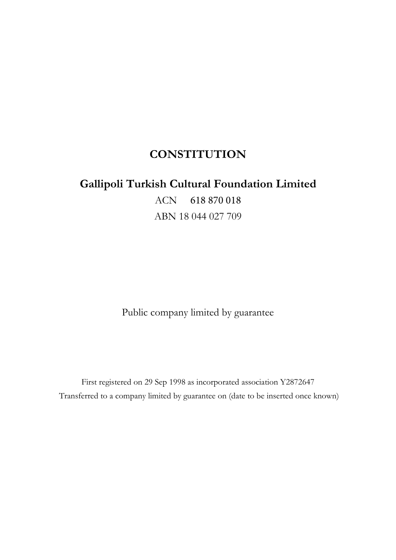# **CONSTITUTION**

# **Gallipoli Turkish Cultural Foundation Limited**

ACN 618 870 018 ABN 18 044 027 709

Public company limited by guarantee

First registered on 29 Sep 1998 as incorporated association Y2872647 Transferred to a company limited by guarantee on (date to be inserted once known)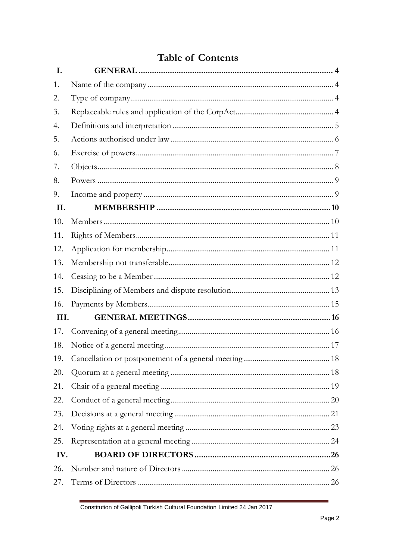# **Table of Contents**

| I.   |  |
|------|--|
| 1.   |  |
| 2.   |  |
| 3.   |  |
| 4.   |  |
| 5.   |  |
| 6.   |  |
| 7.   |  |
| 8.   |  |
| 9.   |  |
| II.  |  |
| 10.  |  |
| 11.  |  |
| 12.  |  |
| 13.  |  |
| 14.  |  |
| 15.  |  |
| 16.  |  |
| III. |  |
| 17.  |  |
| 18.  |  |
| 19.  |  |
| 20.  |  |
| 21.  |  |
| 22.  |  |
| 23.  |  |
| 24.  |  |
| 25.  |  |
| IV.  |  |
| 26.  |  |
| 27.  |  |

Constitution of Gallipoli Turkish Cultural Foundation Limited 24 Jan 2017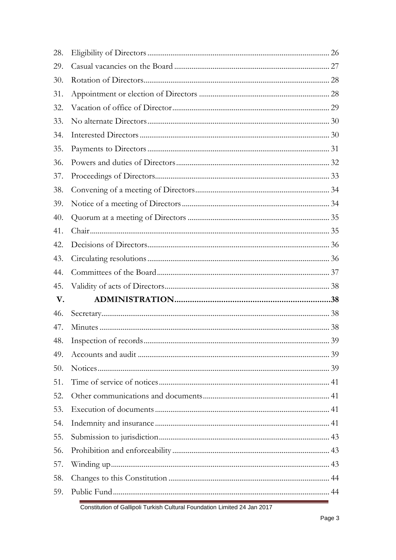| 29.<br>30.<br>31.<br>32.<br>33.<br>34.<br>35.<br>36.<br>37.<br>38.<br>39.<br>40.<br>41.<br>42.<br>43.<br>44.<br>45.<br>V.<br>46.<br>47.<br>48.<br>49.<br>50.<br>51.<br>52.<br>53.<br>54.<br>55.<br>56.<br>57.<br>58.<br>59. | 28. |  |
|-----------------------------------------------------------------------------------------------------------------------------------------------------------------------------------------------------------------------------|-----|--|
|                                                                                                                                                                                                                             |     |  |
|                                                                                                                                                                                                                             |     |  |
|                                                                                                                                                                                                                             |     |  |
|                                                                                                                                                                                                                             |     |  |
|                                                                                                                                                                                                                             |     |  |
|                                                                                                                                                                                                                             |     |  |
|                                                                                                                                                                                                                             |     |  |
|                                                                                                                                                                                                                             |     |  |
|                                                                                                                                                                                                                             |     |  |
|                                                                                                                                                                                                                             |     |  |
|                                                                                                                                                                                                                             |     |  |
|                                                                                                                                                                                                                             |     |  |
|                                                                                                                                                                                                                             |     |  |
|                                                                                                                                                                                                                             |     |  |
|                                                                                                                                                                                                                             |     |  |
|                                                                                                                                                                                                                             |     |  |
|                                                                                                                                                                                                                             |     |  |
|                                                                                                                                                                                                                             |     |  |
|                                                                                                                                                                                                                             |     |  |
|                                                                                                                                                                                                                             |     |  |
|                                                                                                                                                                                                                             |     |  |
|                                                                                                                                                                                                                             |     |  |
|                                                                                                                                                                                                                             |     |  |
|                                                                                                                                                                                                                             |     |  |
|                                                                                                                                                                                                                             |     |  |
|                                                                                                                                                                                                                             |     |  |
|                                                                                                                                                                                                                             |     |  |
|                                                                                                                                                                                                                             |     |  |
|                                                                                                                                                                                                                             |     |  |
|                                                                                                                                                                                                                             |     |  |
|                                                                                                                                                                                                                             |     |  |
|                                                                                                                                                                                                                             |     |  |

Constitution of Gallipoli Turkish Cultural Foundation Limited 24 Jan 2017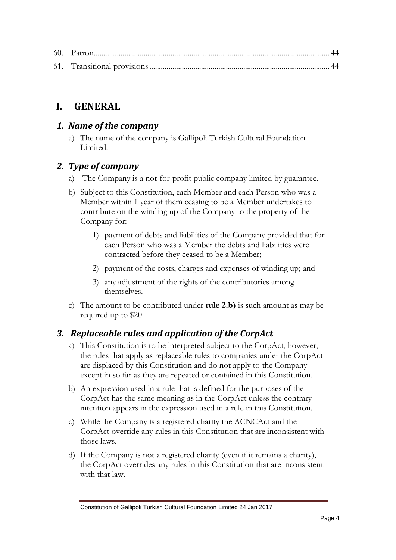# <span id="page-3-0"></span>**I. GENERAL**

#### <span id="page-3-1"></span>*1. Name of the company*

a) The name of the company is Gallipoli Turkish Cultural Foundation Limited.

# <span id="page-3-2"></span>*2. Type of company*

- a) The Company is a not-for-profit public company limited by guarantee.
- b) Subject to this Constitution, each Member and each Person who was a Member within 1 year of them ceasing to be a Member undertakes to contribute on the winding up of the Company to the property of the Company for:
	- 1) payment of debts and liabilities of the Company provided that for each Person who was a Member the debts and liabilities were contracted before they ceased to be a Member;
	- 2) payment of the costs, charges and expenses of winding up; and
	- 3) any adjustment of the rights of the contributories among themselves.
- c) The amount to be contributed under **rule 2.b)** is such amount as may be required up to \$20.

# <span id="page-3-3"></span>*3. Replaceable rules and application of the CorpAct*

- a) This Constitution is to be interpreted subject to the CorpAct, however, the rules that apply as replaceable rules to companies under the CorpAct are displaced by this Constitution and do not apply to the Company except in so far as they are repeated or contained in this Constitution.
- b) An expression used in a rule that is defined for the purposes of the CorpAct has the same meaning as in the CorpAct unless the contrary intention appears in the expression used in a rule in this Constitution.
- c) While the Company is a registered charity the ACNCAct and the CorpAct override any rules in this Constitution that are inconsistent with those laws.
- d) If the Company is not a registered charity (even if it remains a charity), the CorpAct overrides any rules in this Constitution that are inconsistent with that law.

Constitution of Gallipoli Turkish Cultural Foundation Limited 24 Jan 2017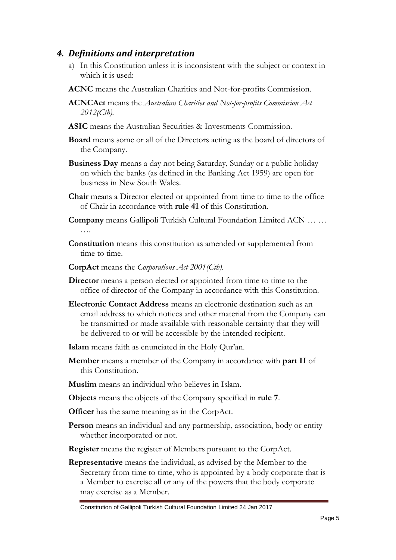#### <span id="page-4-0"></span>*4. Definitions and interpretation*

- a) In this Constitution unless it is inconsistent with the subject or context in which it is used:
- **ACNC** means the Australian Charities and Not-for-profits Commission.
- **ACNCAct** means the *Australian Charities and Not-for-profits Commission Act 2012(Cth).*
- **ASIC** means the Australian Securities & Investments Commission.
- **Board** means some or all of the Directors acting as the board of directors of the Company.
- **Business Day** means a day not being Saturday, Sunday or a public holiday on which the banks (as defined in the Banking Act 1959) are open for business in New South Wales.
- **Chair** means a Director elected or appointed from time to time to the office of Chair in accordance with **rule 41** of this Constitution.
- **Company** means Gallipoli Turkish Cultural Foundation Limited ACN … … ….
- **Constitution** means this constitution as amended or supplemented from time to time.
- **CorpAct** means the *Corporations Act 2001(Cth).*
- **Director** means a person elected or appointed from time to time to the office of director of the Company in accordance with this Constitution.
- **Electronic Contact Address** means an electronic destination such as an email address to which notices and other material from the Company can be transmitted or made available with reasonable certainty that they will be delivered to or will be accessible by the intended recipient.
- **Islam** means faith as enunciated in the Holy Qur'an.
- **Member** means a member of the Company in accordance with **part II** of this Constitution.
- **Muslim** means an individual who believes in Islam.
- **Objects** means the objects of the Company specified in **rule 7**.
- **Officer** has the same meaning as in the CorpAct.
- **Person** means an individual and any partnership, association, body or entity whether incorporated or not.
- **Register** means the register of Members pursuant to the CorpAct.
- **Representative** means the individual, as advised by the Member to the Secretary from time to time, who is appointed by a body corporate that is a Member to exercise all or any of the powers that the body corporate may exercise as a Member.

Constitution of Gallipoli Turkish Cultural Foundation Limited 24 Jan 2017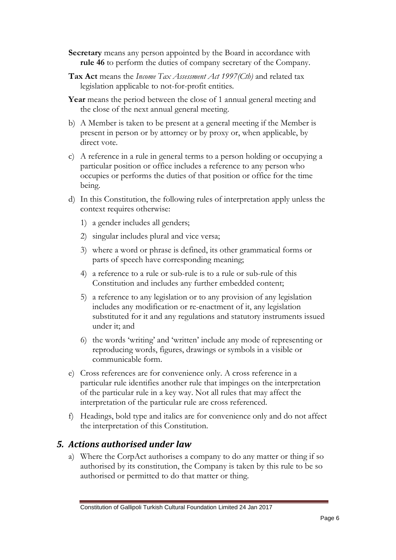- **Secretary** means any person appointed by the Board in accordance with **rule 46** to perform the duties of company secretary of the Company.
- **Tax Act** means the *Income Tax Assessment Act 1997(Cth)* and related tax legislation applicable to not-for-profit entities*.*
- **Year** means the period between the close of 1 annual general meeting and the close of the next annual general meeting.
- b) A Member is taken to be present at a general meeting if the Member is present in person or by attorney or by proxy or, when applicable, by direct vote.
- c) A reference in a rule in general terms to a person holding or occupying a particular position or office includes a reference to any person who occupies or performs the duties of that position or office for the time being.
- d) In this Constitution, the following rules of interpretation apply unless the context requires otherwise:
	- 1) a gender includes all genders;
	- 2) singular includes plural and vice versa;
	- 3) where a word or phrase is defined, its other grammatical forms or parts of speech have corresponding meaning;
	- 4) a reference to a rule or sub-rule is to a rule or sub-rule of this Constitution and includes any further embedded content;
	- 5) a reference to any legislation or to any provision of any legislation includes any modification or re-enactment of it, any legislation substituted for it and any regulations and statutory instruments issued under it; and
	- 6) the words 'writing' and 'written' include any mode of representing or reproducing words, figures, drawings or symbols in a visible or communicable form.
- e) Cross references are for convenience only. A cross reference in a particular rule identifies another rule that impinges on the interpretation of the particular rule in a key way. Not all rules that may affect the interpretation of the particular rule are cross referenced.
- f) Headings, bold type and italics are for convenience only and do not affect the interpretation of this Constitution.

#### <span id="page-5-0"></span>*5. Actions authorised under law*

a) Where the CorpAct authorises a company to do any matter or thing if so authorised by its constitution, the Company is taken by this rule to be so authorised or permitted to do that matter or thing.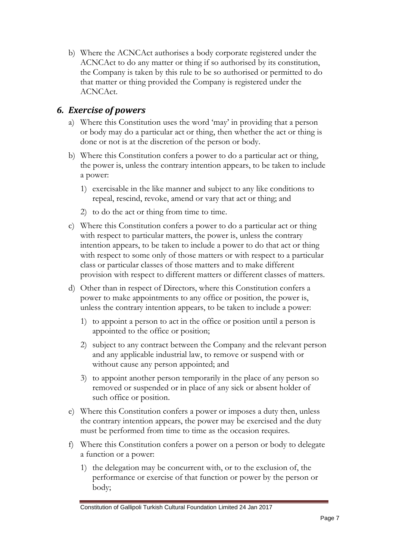b) Where the ACNCAct authorises a body corporate registered under the ACNCAct to do any matter or thing if so authorised by its constitution, the Company is taken by this rule to be so authorised or permitted to do that matter or thing provided the Company is registered under the ACNCAct.

#### <span id="page-6-0"></span>*6. Exercise of powers*

- a) Where this Constitution uses the word 'may' in providing that a person or body may do a particular act or thing, then whether the act or thing is done or not is at the discretion of the person or body.
- b) Where this Constitution confers a power to do a particular act or thing, the power is, unless the contrary intention appears, to be taken to include a power:
	- 1) exercisable in the like manner and subject to any like conditions to repeal, rescind, revoke, amend or vary that act or thing; and
	- 2) to do the act or thing from time to time.
- c) Where this Constitution confers a power to do a particular act or thing with respect to particular matters, the power is, unless the contrary intention appears, to be taken to include a power to do that act or thing with respect to some only of those matters or with respect to a particular class or particular classes of those matters and to make different provision with respect to different matters or different classes of matters.
- d) Other than in respect of Directors, where this Constitution confers a power to make appointments to any office or position, the power is, unless the contrary intention appears, to be taken to include a power:
	- 1) to appoint a person to act in the office or position until a person is appointed to the office or position;
	- 2) subject to any contract between the Company and the relevant person and any applicable industrial law, to remove or suspend with or without cause any person appointed; and
	- 3) to appoint another person temporarily in the place of any person so removed or suspended or in place of any sick or absent holder of such office or position.
- e) Where this Constitution confers a power or imposes a duty then, unless the contrary intention appears, the power may be exercised and the duty must be performed from time to time as the occasion requires.
- f) Where this Constitution confers a power on a person or body to delegate a function or a power:
	- 1) the delegation may be concurrent with, or to the exclusion of, the performance or exercise of that function or power by the person or body;

Constitution of Gallipoli Turkish Cultural Foundation Limited 24 Jan 2017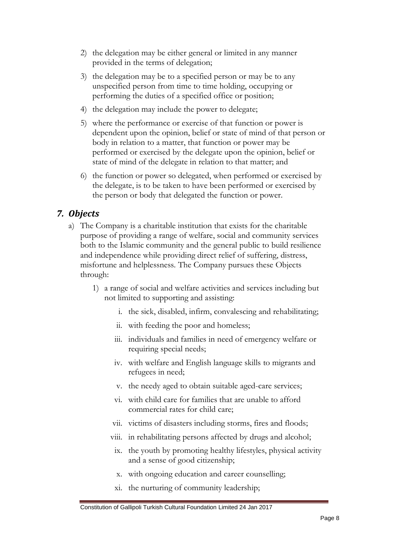- 2) the delegation may be either general or limited in any manner provided in the terms of delegation;
- 3) the delegation may be to a specified person or may be to any unspecified person from time to time holding, occupying or performing the duties of a specified office or position;
- 4) the delegation may include the power to delegate;
- 5) where the performance or exercise of that function or power is dependent upon the opinion, belief or state of mind of that person or body in relation to a matter, that function or power may be performed or exercised by the delegate upon the opinion, belief or state of mind of the delegate in relation to that matter; and
- 6) the function or power so delegated, when performed or exercised by the delegate, is to be taken to have been performed or exercised by the person or body that delegated the function or power.

#### <span id="page-7-0"></span>*7. Objects*

- a) The Company is a charitable institution that exists for the charitable purpose of providing a range of welfare, social and community services both to the Islamic community and the general public to build resilience and independence while providing direct relief of suffering, distress, misfortune and helplessness. The Company pursues these Objects through:
	- 1) a range of social and welfare activities and services including but not limited to supporting and assisting:
		- i. the sick, disabled, infirm, convalescing and rehabilitating;
		- ii. with feeding the poor and homeless;
		- iii. individuals and families in need of emergency welfare or requiring special needs;
		- iv. with welfare and English language skills to migrants and refugees in need;
		- v. the needy aged to obtain suitable aged-care services;
		- vi. with child care for families that are unable to afford commercial rates for child care;
		- vii. victims of disasters including storms, fires and floods;
		- viii. in rehabilitating persons affected by drugs and alcohol;
			- ix. the youth by promoting healthy lifestyles, physical activity and a sense of good citizenship;
			- x. with ongoing education and career counselling;
			- xi. the nurturing of community leadership;

#### Constitution of Gallipoli Turkish Cultural Foundation Limited 24 Jan 2017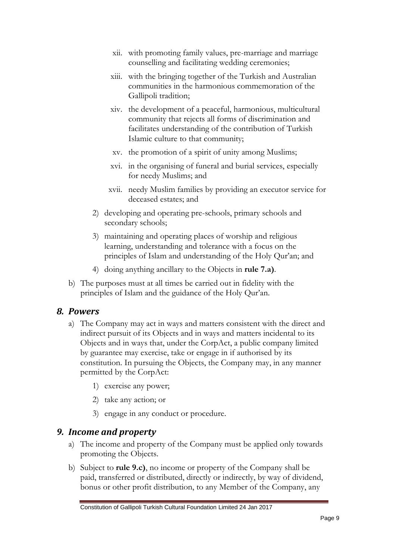- xii. with promoting family values, pre-marriage and marriage counselling and facilitating wedding ceremonies;
- xiii. with the bringing together of the Turkish and Australian communities in the harmonious commemoration of the Gallipoli tradition;
- xiv. the development of a peaceful, harmonious, multicultural community that rejects all forms of discrimination and facilitates understanding of the contribution of Turkish Islamic culture to that community;
- xv. the promotion of a spirit of unity among Muslims;
- xvi. in the organising of funeral and burial services, especially for needy Muslims; and
- xvii. needy Muslim families by providing an executor service for deceased estates; and
- 2) developing and operating pre-schools, primary schools and secondary schools;
- 3) maintaining and operating places of worship and religious learning, understanding and tolerance with a focus on the principles of Islam and understanding of the Holy Qur'an; and
- 4) doing anything ancillary to the Objects in **rule 7.a)**.
- b) The purposes must at all times be carried out in fidelity with the principles of Islam and the guidance of the Holy Qur'an.

#### <span id="page-8-0"></span>*8. Powers*

- a) The Company may act in ways and matters consistent with the direct and indirect pursuit of its Objects and in ways and matters incidental to its Objects and in ways that, under the CorpAct, a public company limited by guarantee may exercise, take or engage in if authorised by its constitution. In pursuing the Objects, the Company may, in any manner permitted by the CorpAct:
	- 1) exercise any power;
	- 2) take any action; or
	- 3) engage in any conduct or procedure.

#### <span id="page-8-1"></span>*9. Income and property*

- a) The income and property of the Company must be applied only towards promoting the Objects.
- b) Subject to **rule 9.c)**, no income or property of the Company shall be paid, transferred or distributed, directly or indirectly, by way of dividend, bonus or other profit distribution, to any Member of the Company, any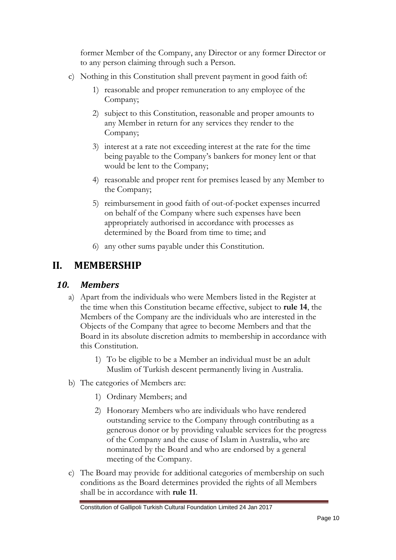former Member of the Company, any Director or any former Director or to any person claiming through such a Person.

- c) Nothing in this Constitution shall prevent payment in good faith of:
	- 1) reasonable and proper remuneration to any employee of the Company;
	- 2) subject to this Constitution, reasonable and proper amounts to any Member in return for any services they render to the Company;
	- 3) interest at a rate not exceeding interest at the rate for the time being payable to the Company's bankers for money lent or that would be lent to the Company;
	- 4) reasonable and proper rent for premises leased by any Member to the Company;
	- 5) reimbursement in good faith of out-of-pocket expenses incurred on behalf of the Company where such expenses have been appropriately authorised in accordance with processes as determined by the Board from time to time; and
	- 6) any other sums payable under this Constitution.

# <span id="page-9-0"></span>**II. MEMBERSHIP**

#### <span id="page-9-1"></span>*10. Members*

- a) Apart from the individuals who were Members listed in the Register at the time when this Constitution became effective, subject to **rule 14**, the Members of the Company are the individuals who are interested in the Objects of the Company that agree to become Members and that the Board in its absolute discretion admits to membership in accordance with this Constitution.
	- 1) To be eligible to be a Member an individual must be an adult Muslim of Turkish descent permanently living in Australia.
- b) The categories of Members are:
	- 1) Ordinary Members; and
	- 2) Honorary Members who are individuals who have rendered outstanding service to the Company through contributing as a generous donor or by providing valuable services for the progress of the Company and the cause of Islam in Australia, who are nominated by the Board and who are endorsed by a general meeting of the Company.
- c) The Board may provide for additional categories of membership on such conditions as the Board determines provided the rights of all Members shall be in accordance with **rule 11**.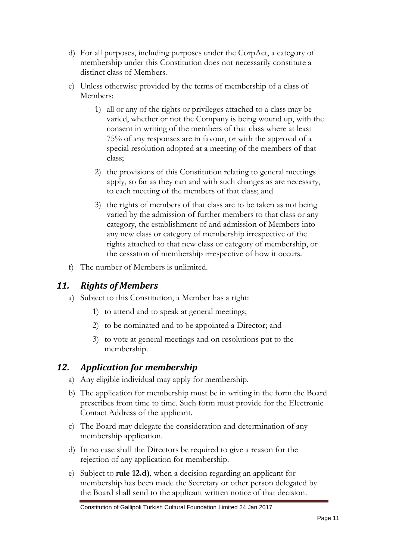- d) For all purposes, including purposes under the CorpAct, a category of membership under this Constitution does not necessarily constitute a distinct class of Members.
- e) Unless otherwise provided by the terms of membership of a class of Members:
	- 1) all or any of the rights or privileges attached to a class may be varied, whether or not the Company is being wound up, with the consent in writing of the members of that class where at least 75% of any responses are in favour, or with the approval of a special resolution adopted at a meeting of the members of that class;
	- 2) the provisions of this Constitution relating to general meetings apply, so far as they can and with such changes as are necessary, to each meeting of the members of that class; and
	- 3) the rights of members of that class are to be taken as not being varied by the admission of further members to that class or any category, the establishment of and admission of Members into any new class or category of membership irrespective of the rights attached to that new class or category of membership, or the cessation of membership irrespective of how it occurs.
- f) The number of Members is unlimited.

#### <span id="page-10-0"></span>*11. Rights of Members*

- a) Subject to this Constitution, a Member has a right:
	- 1) to attend and to speak at general meetings;
	- 2) to be nominated and to be appointed a Director; and
	- 3) to vote at general meetings and on resolutions put to the membership.

# <span id="page-10-1"></span>*12. Application for membership*

- a) Any eligible individual may apply for membership.
- b) The application for membership must be in writing in the form the Board prescribes from time to time. Such form must provide for the Electronic Contact Address of the applicant.
- c) The Board may delegate the consideration and determination of any membership application.
- d) In no case shall the Directors be required to give a reason for the rejection of any application for membership.
- e) Subject to **rule 12.d)**, when a decision regarding an applicant for membership has been made the Secretary or other person delegated by the Board shall send to the applicant written notice of that decision.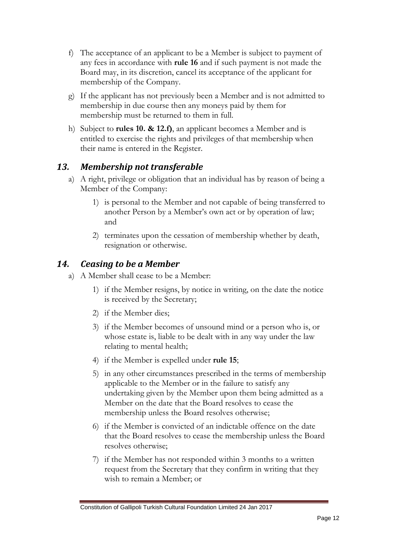- f) The acceptance of an applicant to be a Member is subject to payment of any fees in accordance with **rule 16** and if such payment is not made the Board may, in its discretion, cancel its acceptance of the applicant for membership of the Company.
- g) If the applicant has not previously been a Member and is not admitted to membership in due course then any moneys paid by them for membership must be returned to them in full.
- h) Subject to **rules 10. & 12.f)**, an applicant becomes a Member and is entitled to exercise the rights and privileges of that membership when their name is entered in the Register.

#### <span id="page-11-0"></span>*13. Membership not transferable*

- a) A right, privilege or obligation that an individual has by reason of being a Member of the Company:
	- 1) is personal to the Member and not capable of being transferred to another Person by a Member's own act or by operation of law; and
	- 2) terminates upon the cessation of membership whether by death, resignation or otherwise.

#### <span id="page-11-1"></span>*14. Ceasing to be a Member*

- a) A Member shall cease to be a Member:
	- 1) if the Member resigns, by notice in writing, on the date the notice is received by the Secretary;
	- 2) if the Member dies;
	- 3) if the Member becomes of unsound mind or a person who is, or whose estate is, liable to be dealt with in any way under the law relating to mental health;
	- 4) if the Member is expelled under **rule 15**;
	- 5) in any other circumstances prescribed in the terms of membership applicable to the Member or in the failure to satisfy any undertaking given by the Member upon them being admitted as a Member on the date that the Board resolves to cease the membership unless the Board resolves otherwise;
	- 6) if the Member is convicted of an indictable offence on the date that the Board resolves to cease the membership unless the Board resolves otherwise;
	- 7) if the Member has not responded within 3 months to a written request from the Secretary that they confirm in writing that they wish to remain a Member; or

Constitution of Gallipoli Turkish Cultural Foundation Limited 24 Jan 2017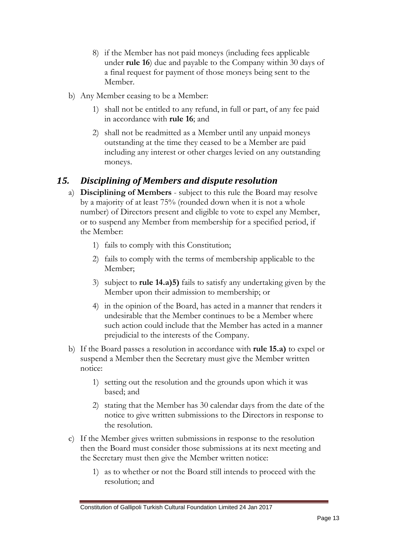- 8) if the Member has not paid moneys (including fees applicable under **rule 16**) due and payable to the Company within 30 days of a final request for payment of those moneys being sent to the Member.
- b) Any Member ceasing to be a Member:
	- 1) shall not be entitled to any refund, in full or part, of any fee paid in accordance with **rule 16**; and
	- 2) shall not be readmitted as a Member until any unpaid moneys outstanding at the time they ceased to be a Member are paid including any interest or other charges levied on any outstanding moneys.

# <span id="page-12-0"></span>*15. Disciplining of Members and dispute resolution*

- a) **Disciplining of Members**  subject to this rule the Board may resolve by a majority of at least 75% (rounded down when it is not a whole number) of Directors present and eligible to vote to expel any Member, or to suspend any Member from membership for a specified period, if the Member:
	- 1) fails to comply with this Constitution;
	- 2) fails to comply with the terms of membership applicable to the Member;
	- 3) subject to **rule 14.a)5)** fails to satisfy any undertaking given by the Member upon their admission to membership; or
	- 4) in the opinion of the Board, has acted in a manner that renders it undesirable that the Member continues to be a Member where such action could include that the Member has acted in a manner prejudicial to the interests of the Company.
- b) If the Board passes a resolution in accordance with **rule 15.a)** to expel or suspend a Member then the Secretary must give the Member written notice:
	- 1) setting out the resolution and the grounds upon which it was based; and
	- 2) stating that the Member has 30 calendar days from the date of the notice to give written submissions to the Directors in response to the resolution.
- c) If the Member gives written submissions in response to the resolution then the Board must consider those submissions at its next meeting and the Secretary must then give the Member written notice:
	- 1) as to whether or not the Board still intends to proceed with the resolution; and

Constitution of Gallipoli Turkish Cultural Foundation Limited 24 Jan 2017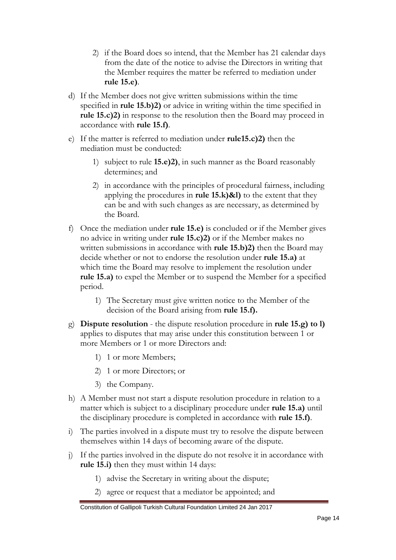- 2) if the Board does so intend, that the Member has 21 calendar days from the date of the notice to advise the Directors in writing that the Member requires the matter be referred to mediation under **rule 15.e)**.
- d) If the Member does not give written submissions within the time specified in **rule 15.b)2)** or advice in writing within the time specified in **rule 15.c)2)** in response to the resolution then the Board may proceed in accordance with **rule 15.f)**.
- e) If the matter is referred to mediation under **rule15.c)2)** then the mediation must be conducted:
	- 1) subject to rule **15.e)2)**, in such manner as the Board reasonably determines; and
	- 2) in accordance with the principles of procedural fairness, including applying the procedures in **rule 15.k)&l)** to the extent that they can be and with such changes as are necessary, as determined by the Board.
- f) Once the mediation under **rule 15.e)** is concluded or if the Member gives no advice in writing under **rule 15.c)2)** or if the Member makes no written submissions in accordance with **rule 15.b)2)** then the Board may decide whether or not to endorse the resolution under **rule 15.a)** at which time the Board may resolve to implement the resolution under **rule 15.a)** to expel the Member or to suspend the Member for a specified period.
	- 1) The Secretary must give written notice to the Member of the decision of the Board arising from **rule 15.f).**
- g) **Dispute resolution**  the dispute resolution procedure in **rule 15.g) to l)** applies to disputes that may arise under this constitution between 1 or more Members or 1 or more Directors and:
	- 1) 1 or more Members;
	- 2) 1 or more Directors; or
	- 3) the Company.
- h) A Member must not start a dispute resolution procedure in relation to a matter which is subject to a disciplinary procedure under **rule 15.a)** until the disciplinary procedure is completed in accordance with **rule 15.f)**.
- i) The parties involved in a dispute must try to resolve the dispute between themselves within 14 days of becoming aware of the dispute.
- j) If the parties involved in the dispute do not resolve it in accordance with **rule 15.i)** then they must within 14 days:
	- 1) advise the Secretary in writing about the dispute;
	- 2) agree or request that a mediator be appointed; and

Constitution of Gallipoli Turkish Cultural Foundation Limited 24 Jan 2017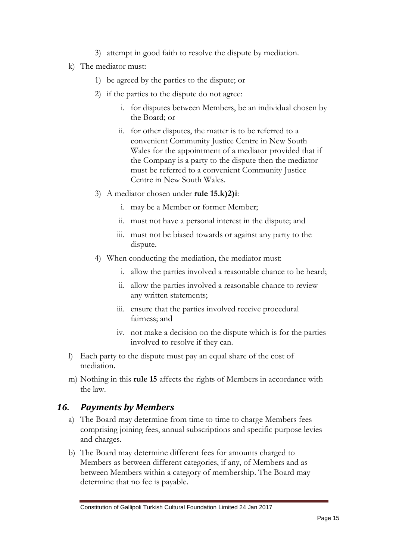- 3) attempt in good faith to resolve the dispute by mediation.
- k) The mediator must:
	- 1) be agreed by the parties to the dispute; or
	- 2) if the parties to the dispute do not agree:
		- i. for disputes between Members, be an individual chosen by the Board; or
		- ii. for other disputes, the matter is to be referred to a convenient Community Justice Centre in New South Wales for the appointment of a mediator provided that if the Company is a party to the dispute then the mediator must be referred to a convenient Community Justice Centre in New South Wales.
	- 3) A mediator chosen under **rule 15.k)2)i**:
		- i. may be a Member or former Member;
		- ii. must not have a personal interest in the dispute; and
		- iii. must not be biased towards or against any party to the dispute.
	- 4) When conducting the mediation, the mediator must:
		- i. allow the parties involved a reasonable chance to be heard;
		- ii. allow the parties involved a reasonable chance to review any written statements;
		- iii. ensure that the parties involved receive procedural fairness; and
		- iv. not make a decision on the dispute which is for the parties involved to resolve if they can.
- l) Each party to the dispute must pay an equal share of the cost of mediation.
- m) Nothing in this **rule 15** affects the rights of Members in accordance with the law.

#### <span id="page-14-0"></span>*16. Payments by Members*

- a) The Board may determine from time to time to charge Members fees comprising joining fees, annual subscriptions and specific purpose levies and charges.
- b) The Board may determine different fees for amounts charged to Members as between different categories, if any, of Members and as between Members within a category of membership. The Board may determine that no fee is payable.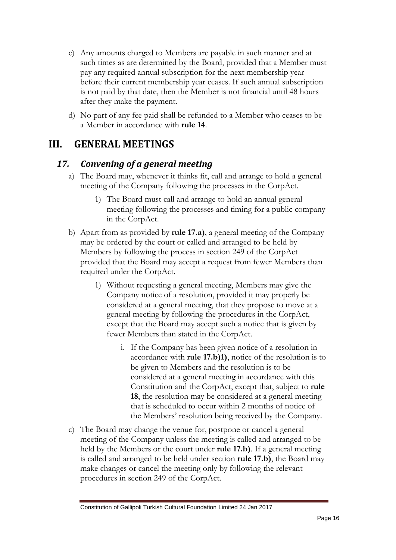- c) Any amounts charged to Members are payable in such manner and at such times as are determined by the Board, provided that a Member must pay any required annual subscription for the next membership year before their current membership year ceases. If such annual subscription is not paid by that date, then the Member is not financial until 48 hours after they make the payment.
- d) No part of any fee paid shall be refunded to a Member who ceases to be a Member in accordance with **rule 14**.

# <span id="page-15-0"></span>**III. GENERAL MEETINGS**

#### <span id="page-15-1"></span>*17. Convening of a general meeting*

- a) The Board may, whenever it thinks fit, call and arrange to hold a general meeting of the Company following the processes in the CorpAct.
	- 1) The Board must call and arrange to hold an annual general meeting following the processes and timing for a public company in the CorpAct.
- b) Apart from as provided by **rule 17.a)**, a general meeting of the Company may be ordered by the court or called and arranged to be held by Members by following the process in section 249 of the CorpAct provided that the Board may accept a request from fewer Members than required under the CorpAct.
	- 1) Without requesting a general meeting, Members may give the Company notice of a resolution, provided it may properly be considered at a general meeting, that they propose to move at a general meeting by following the procedures in the CorpAct, except that the Board may accept such a notice that is given by fewer Members than stated in the CorpAct.
		- i. If the Company has been given notice of a resolution in accordance with **rule 17.b)1)**, notice of the resolution is to be given to Members and the resolution is to be considered at a general meeting in accordance with this Constitution and the CorpAct, except that, subject to **rule 18**, the resolution may be considered at a general meeting that is scheduled to occur within 2 months of notice of the Members' resolution being received by the Company.
- c) The Board may change the venue for, postpone or cancel a general meeting of the Company unless the meeting is called and arranged to be held by the Members or the court under **rule 17.b)**. If a general meeting is called and arranged to be held under section **rule 17.b)**, the Board may make changes or cancel the meeting only by following the relevant procedures in section 249 of the CorpAct.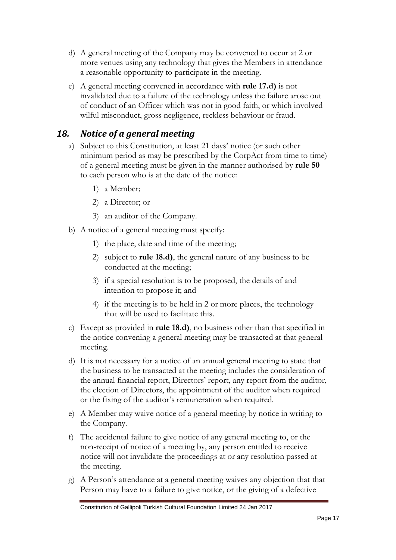- d) A general meeting of the Company may be convened to occur at 2 or more venues using any technology that gives the Members in attendance a reasonable opportunity to participate in the meeting.
- e) A general meeting convened in accordance with **rule 17.d)** is not invalidated due to a failure of the technology unless the failure arose out of conduct of an Officer which was not in good faith, or which involved wilful misconduct, gross negligence, reckless behaviour or fraud.

### <span id="page-16-0"></span>*18. Notice of a general meeting*

- a) Subject to this Constitution, at least 21 days' notice (or such other minimum period as may be prescribed by the CorpAct from time to time) of a general meeting must be given in the manner authorised by **rule 50** to each person who is at the date of the notice:
	- 1) a Member;
	- 2) a Director; or
	- 3) an auditor of the Company.
- b) A notice of a general meeting must specify:
	- 1) the place, date and time of the meeting;
	- 2) subject to **rule 18.d)**, the general nature of any business to be conducted at the meeting;
	- 3) if a special resolution is to be proposed, the details of and intention to propose it; and
	- 4) if the meeting is to be held in 2 or more places, the technology that will be used to facilitate this.
- c) Except as provided in **rule 18.d)**, no business other than that specified in the notice convening a general meeting may be transacted at that general meeting.
- d) It is not necessary for a notice of an annual general meeting to state that the business to be transacted at the meeting includes the consideration of the annual financial report, Directors' report, any report from the auditor, the election of Directors, the appointment of the auditor when required or the fixing of the auditor's remuneration when required.
- e) A Member may waive notice of a general meeting by notice in writing to the Company.
- f) The accidental failure to give notice of any general meeting to, or the non-receipt of notice of a meeting by, any person entitled to receive notice will not invalidate the proceedings at or any resolution passed at the meeting.
- g) A Person's attendance at a general meeting waives any objection that that Person may have to a failure to give notice, or the giving of a defective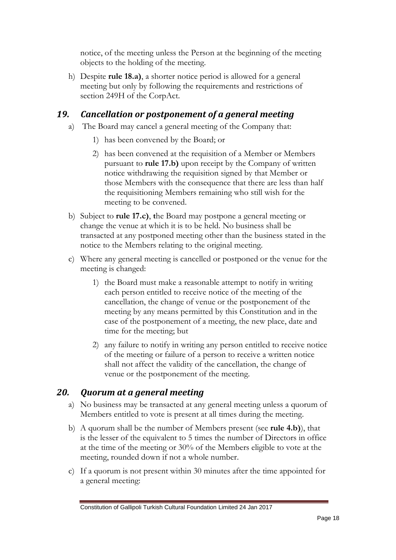notice, of the meeting unless the Person at the beginning of the meeting objects to the holding of the meeting.

h) Despite **rule 18.a)**, a shorter notice period is allowed for a general meeting but only by following the requirements and restrictions of section 249H of the CorpAct.

### <span id="page-17-0"></span>*19. Cancellation or postponement of a general meeting*

- a) The Board may cancel a general meeting of the Company that:
	- 1) has been convened by the Board; or
	- 2) has been convened at the requisition of a Member or Members pursuant to **rule 17.b)** upon receipt by the Company of written notice withdrawing the requisition signed by that Member or those Members with the consequence that there are less than half the requisitioning Members remaining who still wish for the meeting to be convened.
- b) Subject to **rule 17.c)**, **t**he Board may postpone a general meeting or change the venue at which it is to be held. No business shall be transacted at any postponed meeting other than the business stated in the notice to the Members relating to the original meeting.
- c) Where any general meeting is cancelled or postponed or the venue for the meeting is changed:
	- 1) the Board must make a reasonable attempt to notify in writing each person entitled to receive notice of the meeting of the cancellation, the change of venue or the postponement of the meeting by any means permitted by this Constitution and in the case of the postponement of a meeting, the new place, date and time for the meeting; but
	- 2) any failure to notify in writing any person entitled to receive notice of the meeting or failure of a person to receive a written notice shall not affect the validity of the cancellation, the change of venue or the postponement of the meeting.

# <span id="page-17-1"></span>*20. Quorum at a general meeting*

- a) No business may be transacted at any general meeting unless a quorum of Members entitled to vote is present at all times during the meeting.
- b) A quorum shall be the number of Members present (see **rule 4.b)**), that is the lesser of the equivalent to 5 times the number of Directors in office at the time of the meeting or 30% of the Members eligible to vote at the meeting, rounded down if not a whole number.
- c) If a quorum is not present within 30 minutes after the time appointed for a general meeting: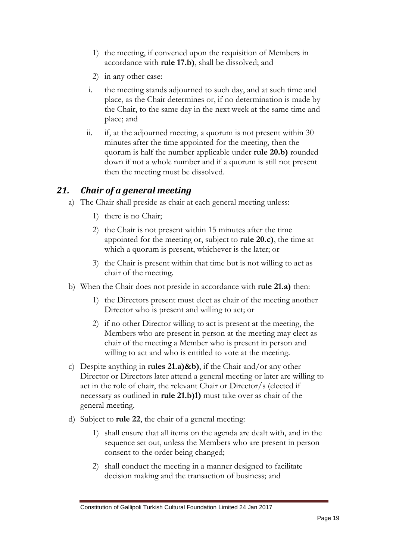- 1) the meeting, if convened upon the requisition of Members in accordance with **rule 17.b)**, shall be dissolved; and
- 2) in any other case:
- i. the meeting stands adjourned to such day, and at such time and place, as the Chair determines or, if no determination is made by the Chair, to the same day in the next week at the same time and place; and
- ii. if, at the adjourned meeting, a quorum is not present within 30 minutes after the time appointed for the meeting, then the quorum is half the number applicable under **rule 20.b)** rounded down if not a whole number and if a quorum is still not present then the meeting must be dissolved.

### <span id="page-18-0"></span>*21. Chair of a general meeting*

- a) The Chair shall preside as chair at each general meeting unless:
	- 1) there is no Chair;
	- 2) the Chair is not present within 15 minutes after the time appointed for the meeting or, subject to **rule 20.c)**, the time at which a quorum is present, whichever is the later; or
	- 3) the Chair is present within that time but is not willing to act as chair of the meeting.
- b) When the Chair does not preside in accordance with **rule 21.a)** then:
	- 1) the Directors present must elect as chair of the meeting another Director who is present and willing to act; or
	- 2) if no other Director willing to act is present at the meeting, the Members who are present in person at the meeting may elect as chair of the meeting a Member who is present in person and willing to act and who is entitled to vote at the meeting.
- c) Despite anything in **rules 21.a)&b)**, if the Chair and/or any other Director or Directors later attend a general meeting or later are willing to act in the role of chair, the relevant Chair or Director/s (elected if necessary as outlined in **rule 21.b)1)** must take over as chair of the general meeting.
- d) Subject to **rule 22**, the chair of a general meeting:
	- 1) shall ensure that all items on the agenda are dealt with, and in the sequence set out, unless the Members who are present in person consent to the order being changed;
	- 2) shall conduct the meeting in a manner designed to facilitate decision making and the transaction of business; and

Constitution of Gallipoli Turkish Cultural Foundation Limited 24 Jan 2017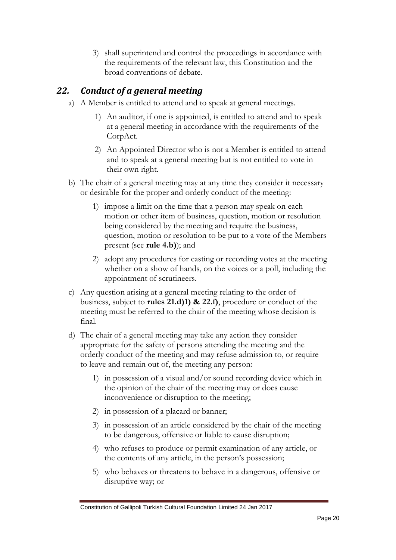3) shall superintend and control the proceedings in accordance with the requirements of the relevant law, this Constitution and the broad conventions of debate.

# <span id="page-19-0"></span>*22. Conduct of a general meeting*

- a) A Member is entitled to attend and to speak at general meetings.
	- 1) An auditor, if one is appointed, is entitled to attend and to speak at a general meeting in accordance with the requirements of the CorpAct.
	- 2) An Appointed Director who is not a Member is entitled to attend and to speak at a general meeting but is not entitled to vote in their own right.
- b) The chair of a general meeting may at any time they consider it necessary or desirable for the proper and orderly conduct of the meeting:
	- 1) impose a limit on the time that a person may speak on each motion or other item of business, question, motion or resolution being considered by the meeting and require the business, question, motion or resolution to be put to a vote of the Members present (see **rule 4.b)**); and
	- 2) adopt any procedures for casting or recording votes at the meeting whether on a show of hands, on the voices or a poll, including the appointment of scrutineers.
- c) Any question arising at a general meeting relating to the order of business, subject to **rules 21.d)1) & 22.f)**, procedure or conduct of the meeting must be referred to the chair of the meeting whose decision is final.
- d) The chair of a general meeting may take any action they consider appropriate for the safety of persons attending the meeting and the orderly conduct of the meeting and may refuse admission to, or require to leave and remain out of, the meeting any person:
	- 1) in possession of a visual and/or sound recording device which in the opinion of the chair of the meeting may or does cause inconvenience or disruption to the meeting;
	- 2) in possession of a placard or banner;
	- 3) in possession of an article considered by the chair of the meeting to be dangerous, offensive or liable to cause disruption;
	- 4) who refuses to produce or permit examination of any article, or the contents of any article, in the person's possession;
	- 5) who behaves or threatens to behave in a dangerous, offensive or disruptive way; or

Constitution of Gallipoli Turkish Cultural Foundation Limited 24 Jan 2017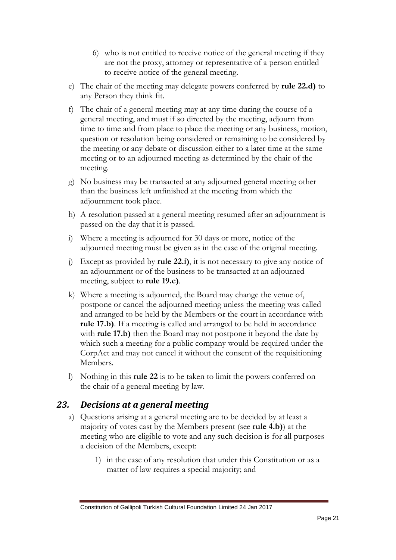- 6) who is not entitled to receive notice of the general meeting if they are not the proxy, attorney or representative of a person entitled to receive notice of the general meeting.
- e) The chair of the meeting may delegate powers conferred by **rule 22.d)** to any Person they think fit.
- f) The chair of a general meeting may at any time during the course of a general meeting, and must if so directed by the meeting, adjourn from time to time and from place to place the meeting or any business, motion, question or resolution being considered or remaining to be considered by the meeting or any debate or discussion either to a later time at the same meeting or to an adjourned meeting as determined by the chair of the meeting.
- g) No business may be transacted at any adjourned general meeting other than the business left unfinished at the meeting from which the adjournment took place.
- h) A resolution passed at a general meeting resumed after an adjournment is passed on the day that it is passed.
- i) Where a meeting is adjourned for 30 days or more, notice of the adjourned meeting must be given as in the case of the original meeting.
- j) Except as provided by **rule 22.i)**, it is not necessary to give any notice of an adjournment or of the business to be transacted at an adjourned meeting, subject to **rule 19.c)**.
- k) Where a meeting is adjourned, the Board may change the venue of, postpone or cancel the adjourned meeting unless the meeting was called and arranged to be held by the Members or the court in accordance with **rule 17.b)**. If a meeting is called and arranged to be held in accordance with **rule 17.b)** then the Board may not postpone it beyond the date by which such a meeting for a public company would be required under the CorpAct and may not cancel it without the consent of the requisitioning Members.
- l) Nothing in this **rule 22** is to be taken to limit the powers conferred on the chair of a general meeting by law.

#### <span id="page-20-0"></span>*23. Decisions at a general meeting*

- a) Questions arising at a general meeting are to be decided by at least a majority of votes cast by the Members present (see **rule 4.b)**) at the meeting who are eligible to vote and any such decision is for all purposes a decision of the Members, except:
	- 1) in the case of any resolution that under this Constitution or as a matter of law requires a special majority; and

Constitution of Gallipoli Turkish Cultural Foundation Limited 24 Jan 2017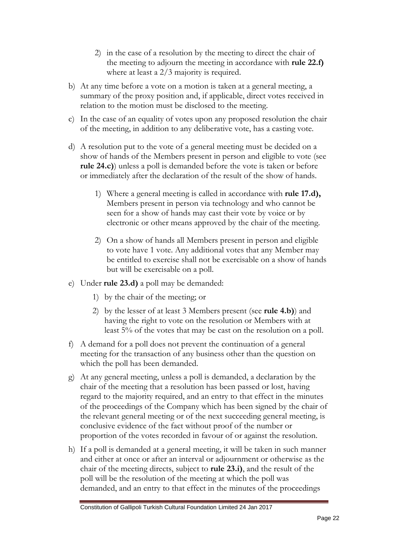- 2) in the case of a resolution by the meeting to direct the chair of the meeting to adjourn the meeting in accordance with **rule 22.f)**  where at least a 2/3 majority is required.
- b) At any time before a vote on a motion is taken at a general meeting, a summary of the proxy position and, if applicable, direct votes received in relation to the motion must be disclosed to the meeting.
- c) In the case of an equality of votes upon any proposed resolution the chair of the meeting, in addition to any deliberative vote, has a casting vote.
- d) A resolution put to the vote of a general meeting must be decided on a show of hands of the Members present in person and eligible to vote (see **rule 24.c)**) unless a poll is demanded before the vote is taken or before or immediately after the declaration of the result of the show of hands.
	- 1) Where a general meeting is called in accordance with **rule 17.d),** Members present in person via technology and who cannot be seen for a show of hands may cast their vote by voice or by electronic or other means approved by the chair of the meeting.
	- 2) On a show of hands all Members present in person and eligible to vote have 1 vote. Any additional votes that any Member may be entitled to exercise shall not be exercisable on a show of hands but will be exercisable on a poll.
- e) Under **rule 23.d)** a poll may be demanded:
	- 1) by the chair of the meeting; or
	- 2) by the lesser of at least 3 Members present (see **rule 4.b)**) and having the right to vote on the resolution or Members with at least 5% of the votes that may be cast on the resolution on a poll.
- f) A demand for a poll does not prevent the continuation of a general meeting for the transaction of any business other than the question on which the poll has been demanded.
- g) At any general meeting, unless a poll is demanded, a declaration by the chair of the meeting that a resolution has been passed or lost, having regard to the majority required, and an entry to that effect in the minutes of the proceedings of the Company which has been signed by the chair of the relevant general meeting or of the next succeeding general meeting, is conclusive evidence of the fact without proof of the number or proportion of the votes recorded in favour of or against the resolution.
- h) If a poll is demanded at a general meeting, it will be taken in such manner and either at once or after an interval or adjournment or otherwise as the chair of the meeting directs, subject to **rule 23.i)**, and the result of the poll will be the resolution of the meeting at which the poll was demanded, and an entry to that effect in the minutes of the proceedings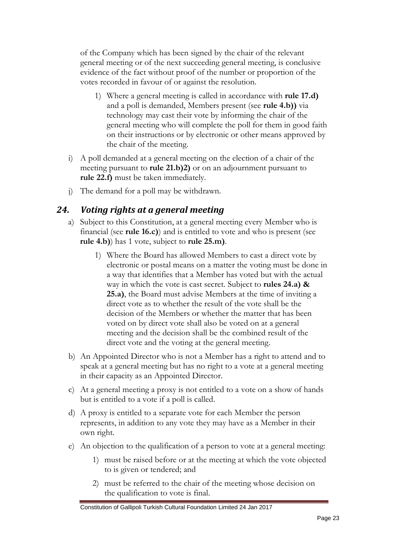of the Company which has been signed by the chair of the relevant general meeting or of the next succeeding general meeting, is conclusive evidence of the fact without proof of the number or proportion of the votes recorded in favour of or against the resolution.

- 1) Where a general meeting is called in accordance with **rule 17.d)**  and a poll is demanded, Members present (see **rule 4.b))** via technology may cast their vote by informing the chair of the general meeting who will complete the poll for them in good faith on their instructions or by electronic or other means approved by the chair of the meeting.
- i) A poll demanded at a general meeting on the election of a chair of the meeting pursuant to **rule 21.b)2)** or on an adjournment pursuant to **rule 22.f)** must be taken immediately.
- j) The demand for a poll may be withdrawn.

#### <span id="page-22-0"></span>*24. Voting rights at a general meeting*

- a) Subject to this Constitution, at a general meeting every Member who is financial (see **rule 16.c)**) and is entitled to vote and who is present (see **rule 4.b)**) has 1 vote, subject to **rule 25.m)**.
	- 1) Where the Board has allowed Members to cast a direct vote by electronic or postal means on a matter the voting must be done in a way that identifies that a Member has voted but with the actual way in which the vote is cast secret. Subject to **rules 24.a) & 25.a)**, the Board must advise Members at the time of inviting a direct vote as to whether the result of the vote shall be the decision of the Members or whether the matter that has been voted on by direct vote shall also be voted on at a general meeting and the decision shall be the combined result of the direct vote and the voting at the general meeting.
- b) An Appointed Director who is not a Member has a right to attend and to speak at a general meeting but has no right to a vote at a general meeting in their capacity as an Appointed Director.
- c) At a general meeting a proxy is not entitled to a vote on a show of hands but is entitled to a vote if a poll is called.
- d) A proxy is entitled to a separate vote for each Member the person represents, in addition to any vote they may have as a Member in their own right.
- e) An objection to the qualification of a person to vote at a general meeting:
	- 1) must be raised before or at the meeting at which the vote objected to is given or tendered; and
	- 2) must be referred to the chair of the meeting whose decision on the qualification to vote is final.

Constitution of Gallipoli Turkish Cultural Foundation Limited 24 Jan 2017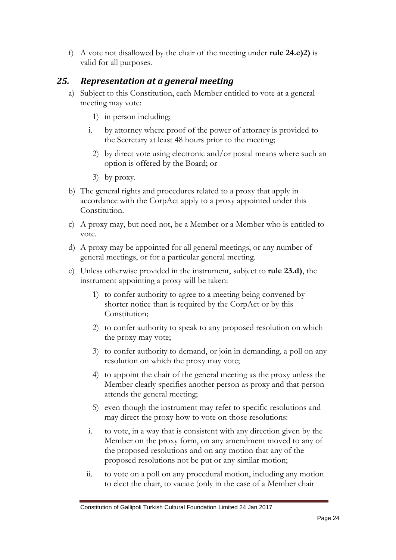f) A vote not disallowed by the chair of the meeting under **rule 24.e)2)** is valid for all purposes.

#### <span id="page-23-0"></span>*25. Representation at a general meeting*

- a) Subject to this Constitution, each Member entitled to vote at a general meeting may vote:
	- 1) in person including;
	- i. by attorney where proof of the power of attorney is provided to the Secretary at least 48 hours prior to the meeting;
	- 2) by direct vote using electronic and/or postal means where such an option is offered by the Board; or
	- 3) by proxy.
- b) The general rights and procedures related to a proxy that apply in accordance with the CorpAct apply to a proxy appointed under this Constitution.
- c) A proxy may, but need not, be a Member or a Member who is entitled to vote.
- d) A proxy may be appointed for all general meetings, or any number of general meetings, or for a particular general meeting.
- e) Unless otherwise provided in the instrument, subject to **rule 23.d)**, the instrument appointing a proxy will be taken:
	- 1) to confer authority to agree to a meeting being convened by shorter notice than is required by the CorpAct or by this Constitution;
	- 2) to confer authority to speak to any proposed resolution on which the proxy may vote;
	- 3) to confer authority to demand, or join in demanding, a poll on any resolution on which the proxy may vote;
	- 4) to appoint the chair of the general meeting as the proxy unless the Member clearly specifies another person as proxy and that person attends the general meeting;
	- 5) even though the instrument may refer to specific resolutions and may direct the proxy how to vote on those resolutions:
	- i. to vote, in a way that is consistent with any direction given by the Member on the proxy form, on any amendment moved to any of the proposed resolutions and on any motion that any of the proposed resolutions not be put or any similar motion;
	- ii. to vote on a poll on any procedural motion, including any motion to elect the chair, to vacate (only in the case of a Member chair

Constitution of Gallipoli Turkish Cultural Foundation Limited 24 Jan 2017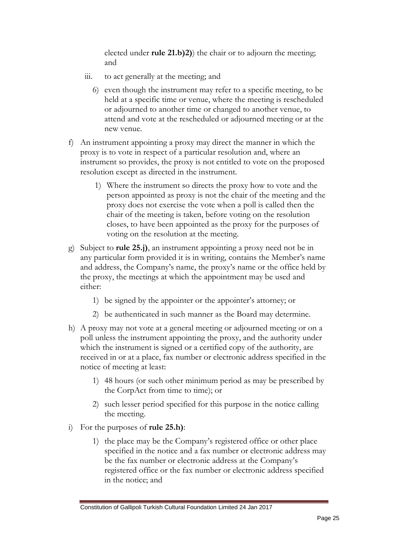elected under **rule 21.b)2)**) the chair or to adjourn the meeting; and

- iii. to act generally at the meeting; and
	- 6) even though the instrument may refer to a specific meeting, to be held at a specific time or venue, where the meeting is rescheduled or adjourned to another time or changed to another venue, to attend and vote at the rescheduled or adjourned meeting or at the new venue.
- f) An instrument appointing a proxy may direct the manner in which the proxy is to vote in respect of a particular resolution and, where an instrument so provides, the proxy is not entitled to vote on the proposed resolution except as directed in the instrument.
	- 1) Where the instrument so directs the proxy how to vote and the person appointed as proxy is not the chair of the meeting and the proxy does not exercise the vote when a poll is called then the chair of the meeting is taken, before voting on the resolution closes, to have been appointed as the proxy for the purposes of voting on the resolution at the meeting.
- g) Subject to **rule 25.j)**, an instrument appointing a proxy need not be in any particular form provided it is in writing, contains the Member's name and address, the Company's name, the proxy's name or the office held by the proxy, the meetings at which the appointment may be used and either:
	- 1) be signed by the appointer or the appointer's attorney; or
	- 2) be authenticated in such manner as the Board may determine.
- h) A proxy may not vote at a general meeting or adjourned meeting or on a poll unless the instrument appointing the proxy, and the authority under which the instrument is signed or a certified copy of the authority, are received in or at a place, fax number or electronic address specified in the notice of meeting at least:
	- 1) 48 hours (or such other minimum period as may be prescribed by the CorpAct from time to time); or
	- 2) such lesser period specified for this purpose in the notice calling the meeting.
- i) For the purposes of **rule 25.h)**:
	- 1) the place may be the Company's registered office or other place specified in the notice and a fax number or electronic address may be the fax number or electronic address at the Company's registered office or the fax number or electronic address specified in the notice; and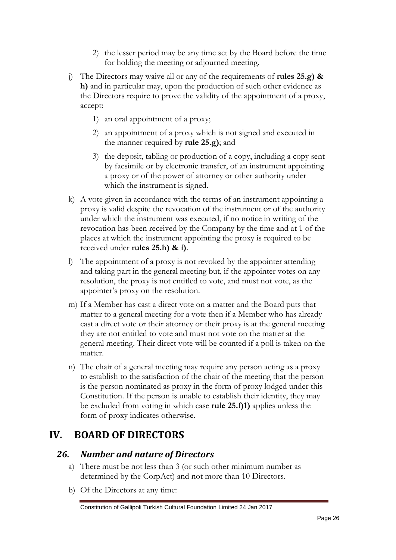- 2) the lesser period may be any time set by the Board before the time for holding the meeting or adjourned meeting.
- j) The Directors may waive all or any of the requirements of **rules 25.g) & h)** and in particular may, upon the production of such other evidence as the Directors require to prove the validity of the appointment of a proxy, accept:
	- 1) an oral appointment of a proxy;
	- 2) an appointment of a proxy which is not signed and executed in the manner required by **rule 25.g)**; and
	- 3) the deposit, tabling or production of a copy, including a copy sent by facsimile or by electronic transfer, of an instrument appointing a proxy or of the power of attorney or other authority under which the instrument is signed.
- k) A vote given in accordance with the terms of an instrument appointing a proxy is valid despite the revocation of the instrument or of the authority under which the instrument was executed, if no notice in writing of the revocation has been received by the Company by the time and at 1 of the places at which the instrument appointing the proxy is required to be received under **rules 25.h) & i)**.
- l) The appointment of a proxy is not revoked by the appointer attending and taking part in the general meeting but, if the appointer votes on any resolution, the proxy is not entitled to vote, and must not vote, as the appointer's proxy on the resolution.
- m) If a Member has cast a direct vote on a matter and the Board puts that matter to a general meeting for a vote then if a Member who has already cast a direct vote or their attorney or their proxy is at the general meeting they are not entitled to vote and must not vote on the matter at the general meeting. Their direct vote will be counted if a poll is taken on the matter.
- n) The chair of a general meeting may require any person acting as a proxy to establish to the satisfaction of the chair of the meeting that the person is the person nominated as proxy in the form of proxy lodged under this Constitution. If the person is unable to establish their identity, they may be excluded from voting in which case **rule 25.f)1)** applies unless the form of proxy indicates otherwise.

# <span id="page-25-0"></span>**IV. BOARD OF DIRECTORS**

#### <span id="page-25-1"></span>*26. Number and nature of Directors*

- a) There must be not less than 3 (or such other minimum number as determined by the CorpAct) and not more than 10 Directors.
- b) Of the Directors at any time: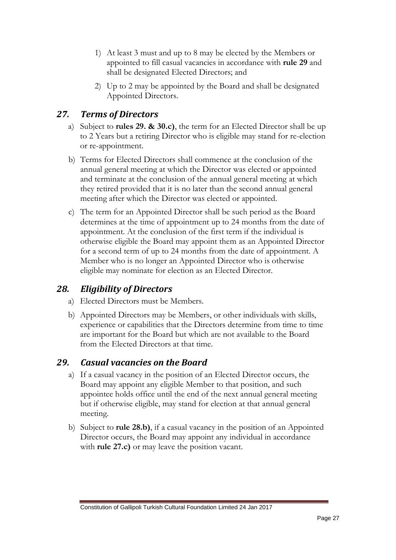- 1) At least 3 must and up to 8 may be elected by the Members or appointed to fill casual vacancies in accordance with **rule 29** and shall be designated Elected Directors; and
- 2) Up to 2 may be appointed by the Board and shall be designated Appointed Directors.

### *27. Terms of Directors*

- a) Subject to **rules 29. & 30.c)**, the term for an Elected Director shall be up to 2 Years but a retiring Director who is eligible may stand for re-election or re-appointment.
- b) Terms for Elected Directors shall commence at the conclusion of the annual general meeting at which the Director was elected or appointed and terminate at the conclusion of the annual general meeting at which they retired provided that it is no later than the second annual general meeting after which the Director was elected or appointed.
- c) The term for an Appointed Director shall be such period as the Board determines at the time of appointment up to 24 months from the date of appointment. At the conclusion of the first term if the individual is otherwise eligible the Board may appoint them as an Appointed Director for a second term of up to 24 months from the date of appointment. A Member who is no longer an Appointed Director who is otherwise eligible may nominate for election as an Elected Director.

#### <span id="page-26-0"></span>*28. Eligibility of Directors*

- a) Elected Directors must be Members.
- b) Appointed Directors may be Members, or other individuals with skills, experience or capabilities that the Directors determine from time to time are important for the Board but which are not available to the Board from the Elected Directors at that time.

#### *29. Casual vacancies on the Board*

- a) If a casual vacancy in the position of an Elected Director occurs, the Board may appoint any eligible Member to that position, and such appointee holds office until the end of the next annual general meeting but if otherwise eligible, may stand for election at that annual general meeting.
- b) Subject to **rule 28.b)**, if a casual vacancy in the position of an Appointed Director occurs, the Board may appoint any individual in accordance with **rule 27.c)** or may leave the position vacant.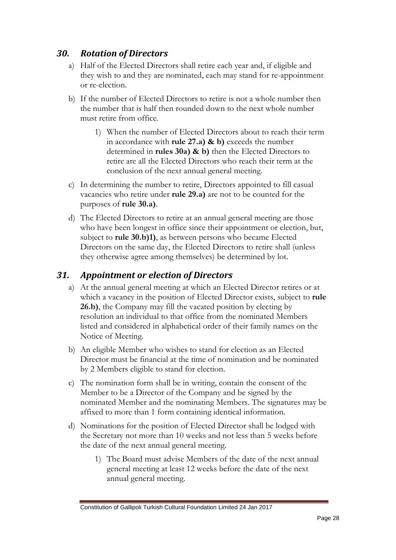#### <span id="page-27-0"></span>*30. Rotation of Directors*

- a) Half of the Elected Directors shall retire each year and, if eligible and they wish to and they are nominated, each may stand for re-appointment or re-election.
- b) If the number of Elected Directors to retire is not a whole number then the number that is half then rounded down to the next whole number must retire from office.
	- 1) When the number of Elected Directors about to reach their term in accordance with **rule 27.a) & b)** exceeds the number determined in **rules 30a) & b)** then the Elected Directors to retire are all the Elected Directors who reach their term at the conclusion of the next annual general meeting.
- c) In determining the number to retire, Directors appointed to fill casual vacancies who retire under **rule 29.a)** are not to be counted for the purposes of **rule 30.a)**.
- d) The Elected Directors to retire at an annual general meeting are those who have been longest in office since their appointment or election, but, subject to **rule 30.b)1)**, as between persons who became Elected Directors on the same day, the Elected Directors to retire shall (unless they otherwise agree among themselves) be determined by lot.

#### *31. Appointment or election of Directors*

- <span id="page-27-1"></span>a) At the annual general meeting at which an Elected Director retires or at which a vacancy in the position of Elected Director exists, subject to **rule 26.b)**, the Company may fill the vacated position by electing by resolution an individual to that office from the nominated Members listed and considered in alphabetical order of their family names on the Notice of Meeting.
- b) An eligible Member who wishes to stand for election as an Elected Director must be financial at the time of nomination and be nominated by 2 Members eligible to stand for election.
- c) The nomination form shall be in writing, contain the consent of the Member to be a Director of the Company and be signed by the nominated Member and the nominating Members. The signatures may be affixed to more than 1 form containing identical information.
- d) Nominations for the position of Elected Director shall be lodged with the Secretary not more than 10 weeks and not less than 5 weeks before the date of the next annual general meeting.
	- 1) The Board must advise Members of the date of the next annual general meeting at least 12 weeks before the date of the next annual general meeting.

Constitution of Gallipoli Turkish Cultural Foundation Limited 24 Jan 2017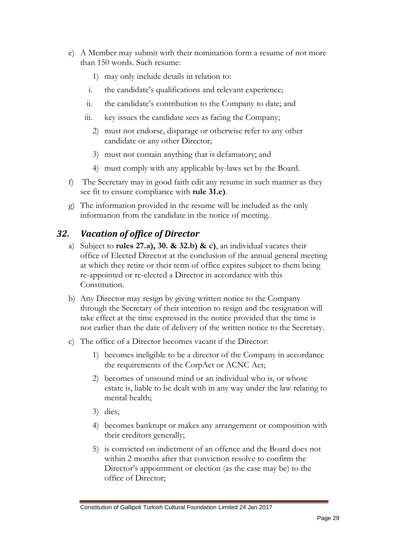- e) A Member may submit with their nomination form a resume of not more than 150 words. Such resume:
	- 1) may only include details in relation to:
	- i. the candidate's qualifications and relevant experience;
	- ii. the candidate's contribution to the Company to date; and
	- iii. key issues the candidate sees as facing the Company;
		- 2) must not endorse, disparage or otherwise refer to any other candidate or any other Director;
		- 3) must not contain anything that is defamatory; and
		- 4) must comply with any applicable by-laws set by the Board.
- f) The Secretary may in good faith edit any resume in such manner as they see fit to ensure compliance with **rule 31.e)**.
- g) The information provided in the resume will be included as the only information from the candidate in the notice of meeting.

#### <span id="page-28-0"></span>*32. Vacation of office of Director*

- a) Subject to **rules 27.a), 30. & 32.b) & c)**, an individual vacates their office of Elected Director at the conclusion of the annual general meeting at which they retire or their term of office expires subject to them being re-appointed or re-elected a Director in accordance with this Constitution.
- b) Any Director may resign by giving written notice to the Company through the Secretary of their intention to resign and the resignation will take effect at the time expressed in the notice provided that the time is not earlier than the date of delivery of the written notice to the Secretary.
- c) The office of a Director becomes vacant if the Director:
	- 1) becomes ineligible to be a director of the Company in accordance the requirements of the CorpAct or ACNC Act;
	- 2) becomes of unsound mind or an individual who is, or whose estate is, liable to be dealt with in any way under the law relating to mental health;
	- 3) dies;
	- 4) becomes bankrupt or makes any arrangement or composition with their creditors generally;
	- 5) is convicted on indictment of an offence and the Board does not within 2 months after that conviction resolve to confirm the Director's appointment or election (as the case may be) to the office of Director;

Constitution of Gallipoli Turkish Cultural Foundation Limited 24 Jan 2017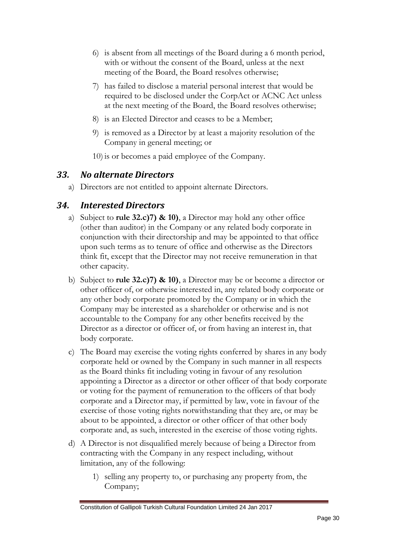- 6) is absent from all meetings of the Board during a 6 month period, with or without the consent of the Board, unless at the next meeting of the Board, the Board resolves otherwise;
- 7) has failed to disclose a material personal interest that would be required to be disclosed under the CorpAct or ACNC Act unless at the next meeting of the Board, the Board resolves otherwise;
- 8) is an Elected Director and ceases to be a Member;
- 9) is removed as a Director by at least a majority resolution of the Company in general meeting; or
- 10) is or becomes a paid employee of the Company.

#### <span id="page-29-0"></span>*33. No alternate Directors*

a) Directors are not entitled to appoint alternate Directors.

#### <span id="page-29-1"></span>*34. Interested Directors*

- a) Subject to **rule 32.c)7) & 10)**, a Director may hold any other office (other than auditor) in the Company or any related body corporate in conjunction with their directorship and may be appointed to that office upon such terms as to tenure of office and otherwise as the Directors think fit, except that the Director may not receive remuneration in that other capacity.
- b) Subject to **rule 32.c)7) & 10)**, a Director may be or become a director or other officer of, or otherwise interested in, any related body corporate or any other body corporate promoted by the Company or in which the Company may be interested as a shareholder or otherwise and is not accountable to the Company for any other benefits received by the Director as a director or officer of, or from having an interest in, that body corporate.
- c) The Board may exercise the voting rights conferred by shares in any body corporate held or owned by the Company in such manner in all respects as the Board thinks fit including voting in favour of any resolution appointing a Director as a director or other officer of that body corporate or voting for the payment of remuneration to the officers of that body corporate and a Director may, if permitted by law, vote in favour of the exercise of those voting rights notwithstanding that they are, or may be about to be appointed, a director or other officer of that other body corporate and, as such, interested in the exercise of those voting rights.
- d) A Director is not disqualified merely because of being a Director from contracting with the Company in any respect including, without limitation, any of the following:
	- 1) selling any property to, or purchasing any property from, the Company;

Constitution of Gallipoli Turkish Cultural Foundation Limited 24 Jan 2017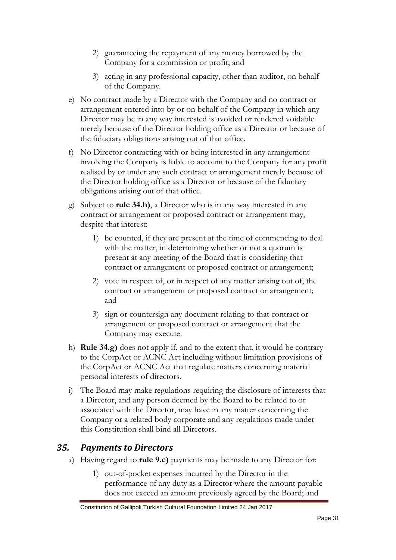- 2) guaranteeing the repayment of any money borrowed by the Company for a commission or profit; and
- 3) acting in any professional capacity, other than auditor, on behalf of the Company.
- e) No contract made by a Director with the Company and no contract or arrangement entered into by or on behalf of the Company in which any Director may be in any way interested is avoided or rendered voidable merely because of the Director holding office as a Director or because of the fiduciary obligations arising out of that office.
- f) No Director contracting with or being interested in any arrangement involving the Company is liable to account to the Company for any profit realised by or under any such contract or arrangement merely because of the Director holding office as a Director or because of the fiduciary obligations arising out of that office.
- g) Subject to **rule 34.h)**, a Director who is in any way interested in any contract or arrangement or proposed contract or arrangement may, despite that interest:
	- 1) be counted, if they are present at the time of commencing to deal with the matter, in determining whether or not a quorum is present at any meeting of the Board that is considering that contract or arrangement or proposed contract or arrangement;
	- 2) vote in respect of, or in respect of any matter arising out of, the contract or arrangement or proposed contract or arrangement; and
	- 3) sign or countersign any document relating to that contract or arrangement or proposed contract or arrangement that the Company may execute.
- h) **Rule 34.g)** does not apply if, and to the extent that, it would be contrary to the CorpAct or ACNC Act including without limitation provisions of the CorpAct or ACNC Act that regulate matters concerning material personal interests of directors.
- i) The Board may make regulations requiring the disclosure of interests that a Director, and any person deemed by the Board to be related to or associated with the Director, may have in any matter concerning the Company or a related body corporate and any regulations made under this Constitution shall bind all Directors.

#### <span id="page-30-0"></span>*35. Payments to Directors*

- a) Having regard to **rule 9.c)** payments may be made to any Director for:
	- 1) out-of-pocket expenses incurred by the Director in the performance of any duty as a Director where the amount payable does not exceed an amount previously agreed by the Board; and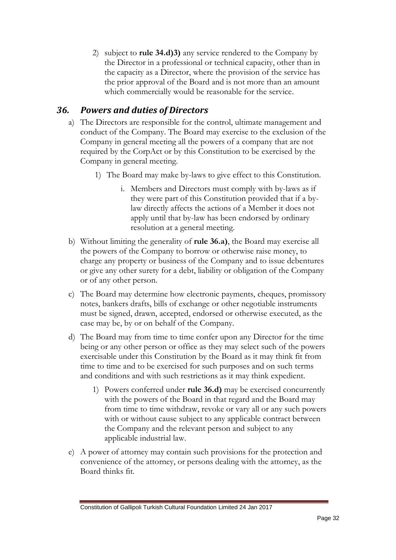2) subject to **rule 34.d)3)** any service rendered to the Company by the Director in a professional or technical capacity, other than in the capacity as a Director, where the provision of the service has the prior approval of the Board and is not more than an amount which commercially would be reasonable for the service.

#### <span id="page-31-0"></span>*36. Powers and duties of Directors*

- a) The Directors are responsible for the control, ultimate management and conduct of the Company. The Board may exercise to the exclusion of the Company in general meeting all the powers of a company that are not required by the CorpAct or by this Constitution to be exercised by the Company in general meeting.
	- 1) The Board may make by-laws to give effect to this Constitution.
		- i. Members and Directors must comply with by-laws as if they were part of this Constitution provided that if a bylaw directly affects the actions of a Member it does not apply until that by-law has been endorsed by ordinary resolution at a general meeting.
- b) Without limiting the generality of **rule 36.a)**, the Board may exercise all the powers of the Company to borrow or otherwise raise money, to charge any property or business of the Company and to issue debentures or give any other surety for a debt, liability or obligation of the Company or of any other person.
- c) The Board may determine how electronic payments, cheques, promissory notes, bankers drafts, bills of exchange or other negotiable instruments must be signed, drawn, accepted, endorsed or otherwise executed, as the case may be, by or on behalf of the Company.
- d) The Board may from time to time confer upon any Director for the time being or any other person or office as they may select such of the powers exercisable under this Constitution by the Board as it may think fit from time to time and to be exercised for such purposes and on such terms and conditions and with such restrictions as it may think expedient.
	- 1) Powers conferred under **rule 36.d)** may be exercised concurrently with the powers of the Board in that regard and the Board may from time to time withdraw, revoke or vary all or any such powers with or without cause subject to any applicable contract between the Company and the relevant person and subject to any applicable industrial law.
- e) A power of attorney may contain such provisions for the protection and convenience of the attorney, or persons dealing with the attorney, as the Board thinks fit.

Constitution of Gallipoli Turkish Cultural Foundation Limited 24 Jan 2017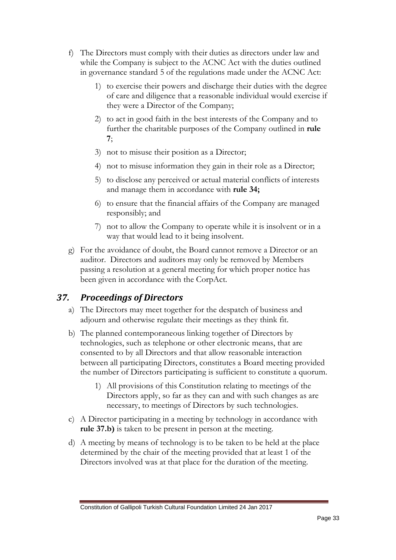- f) The Directors must comply with their duties as directors under law and while the Company is subject to the ACNC Act with the duties outlined in governance standard 5 of the regulations made under the ACNC Act:
	- 1) to exercise their powers and discharge their duties with the degree of care and diligence that a reasonable individual would exercise if they were a Director of the Company;
	- 2) to act in good faith in the best interests of the Company and to further the charitable purposes of the Company outlined in **rule 7**;
	- 3) not to misuse their position as a Director;
	- 4) not to misuse information they gain in their role as a Director;
	- 5) to disclose any perceived or actual material conflicts of interests and manage them in accordance with **rule 34;**
	- 6) to ensure that the financial affairs of the Company are managed responsibly; and
	- 7) not to allow the Company to operate while it is insolvent or in a way that would lead to it being insolvent.
- g) For the avoidance of doubt, the Board cannot remove a Director or an auditor. Directors and auditors may only be removed by Members passing a resolution at a general meeting for which proper notice has been given in accordance with the CorpAct.

#### <span id="page-32-0"></span>*37. Proceedings of Directors*

- a) The Directors may meet together for the despatch of business and adjourn and otherwise regulate their meetings as they think fit.
- b) The planned contemporaneous linking together of Directors by technologies, such as telephone or other electronic means, that are consented to by all Directors and that allow reasonable interaction between all participating Directors, constitutes a Board meeting provided the number of Directors participating is sufficient to constitute a quorum.
	- 1) All provisions of this Constitution relating to meetings of the Directors apply, so far as they can and with such changes as are necessary, to meetings of Directors by such technologies.
- c) A Director participating in a meeting by technology in accordance with **rule 37.b)** is taken to be present in person at the meeting.
- d) A meeting by means of technology is to be taken to be held at the place determined by the chair of the meeting provided that at least 1 of the Directors involved was at that place for the duration of the meeting.

Constitution of Gallipoli Turkish Cultural Foundation Limited 24 Jan 2017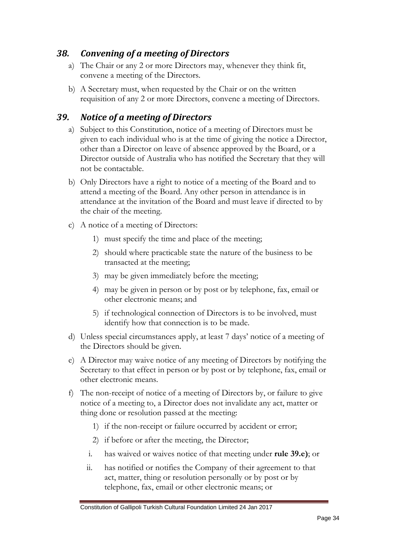#### <span id="page-33-0"></span>*38. Convening of a meeting of Directors*

- a) The Chair or any 2 or more Directors may, whenever they think fit, convene a meeting of the Directors.
- b) A Secretary must, when requested by the Chair or on the written requisition of any 2 or more Directors, convene a meeting of Directors.

## <span id="page-33-1"></span>*39. Notice of a meeting of Directors*

- a) Subject to this Constitution, notice of a meeting of Directors must be given to each individual who is at the time of giving the notice a Director, other than a Director on leave of absence approved by the Board, or a Director outside of Australia who has notified the Secretary that they will not be contactable.
- b) Only Directors have a right to notice of a meeting of the Board and to attend a meeting of the Board. Any other person in attendance is in attendance at the invitation of the Board and must leave if directed to by the chair of the meeting.
- c) A notice of a meeting of Directors:
	- 1) must specify the time and place of the meeting;
	- 2) should where practicable state the nature of the business to be transacted at the meeting;
	- 3) may be given immediately before the meeting;
	- 4) may be given in person or by post or by telephone, fax, email or other electronic means; and
	- 5) if technological connection of Directors is to be involved, must identify how that connection is to be made.
- d) Unless special circumstances apply, at least 7 days' notice of a meeting of the Directors should be given.
- e) A Director may waive notice of any meeting of Directors by notifying the Secretary to that effect in person or by post or by telephone, fax, email or other electronic means.
- f) The non-receipt of notice of a meeting of Directors by, or failure to give notice of a meeting to, a Director does not invalidate any act, matter or thing done or resolution passed at the meeting:
	- 1) if the non-receipt or failure occurred by accident or error;
	- 2) if before or after the meeting, the Director;
	- i. has waived or waives notice of that meeting under **rule 39.e)**; or
	- ii. has notified or notifies the Company of their agreement to that act, matter, thing or resolution personally or by post or by telephone, fax, email or other electronic means; or

Constitution of Gallipoli Turkish Cultural Foundation Limited 24 Jan 2017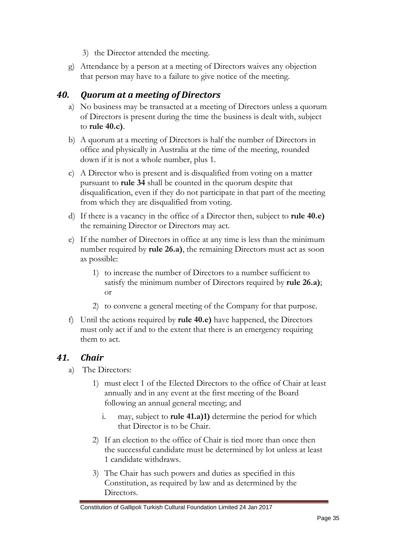- 3) the Director attended the meeting.
- g) Attendance by a person at a meeting of Directors waives any objection that person may have to a failure to give notice of the meeting.

#### <span id="page-34-0"></span>*40. Quorum at a meeting of Directors*

- a) No business may be transacted at a meeting of Directors unless a quorum of Directors is present during the time the business is dealt with, subject to **rule 40.c)**.
- b) A quorum at a meeting of Directors is half the number of Directors in office and physically in Australia at the time of the meeting, rounded down if it is not a whole number, plus 1.
- c) A Director who is present and is disqualified from voting on a matter pursuant to **rule 34** shall be counted in the quorum despite that disqualification, even if they do not participate in that part of the meeting from which they are disqualified from voting.
- d) If there is a vacancy in the office of a Director then, subject to **rule 40.e)** the remaining Director or Directors may act.
- e) If the number of Directors in office at any time is less than the minimum number required by **rule 26.a)**, the remaining Directors must act as soon as possible:
	- 1) to increase the number of Directors to a number sufficient to satisfy the minimum number of Directors required by **rule 26.a)**; or
	- 2) to convene a general meeting of the Company for that purpose.
- f) Until the actions required by **rule 40.e)** have happened, the Directors must only act if and to the extent that there is an emergency requiring them to act.

#### *41. Chair*

- a) The Directors:
	- 1) must elect 1 of the Elected Directors to the office of Chair at least annually and in any event at the first meeting of the Board following an annual general meeting; and
		- i. may, subject to **rule 41.a)1)** determine the period for which that Director is to be Chair.
	- 2) If an election to the office of Chair is tied more than once then the successful candidate must be determined by lot unless at least 1 candidate withdraws.
	- 3) The Chair has such powers and duties as specified in this Constitution, as required by law and as determined by the Directors.

Constitution of Gallipoli Turkish Cultural Foundation Limited 24 Jan 2017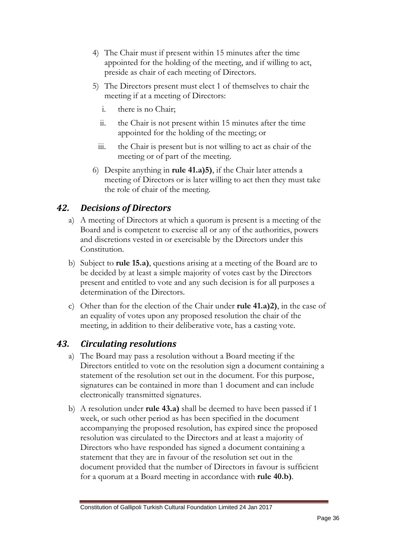- 4) The Chair must if present within 15 minutes after the time appointed for the holding of the meeting, and if willing to act, preside as chair of each meeting of Directors.
- 5) The Directors present must elect 1 of themselves to chair the meeting if at a meeting of Directors:
	- i. there is no Chair;
	- ii. the Chair is not present within 15 minutes after the time appointed for the holding of the meeting; or
	- iii. the Chair is present but is not willing to act as chair of the meeting or of part of the meeting.
- 6) Despite anything in **rule 41.a)5)**, if the Chair later attends a meeting of Directors or is later willing to act then they must take the role of chair of the meeting.

### <span id="page-35-0"></span>*42. Decisions of Directors*

- a) A meeting of Directors at which a quorum is present is a meeting of the Board and is competent to exercise all or any of the authorities, powers and discretions vested in or exercisable by the Directors under this Constitution.
- b) Subject to **rule 15.a)**, questions arising at a meeting of the Board are to be decided by at least a simple majority of votes cast by the Directors present and entitled to vote and any such decision is for all purposes a determination of the Directors.
- c) Other than for the election of the Chair under **rule 41.a)2)**, in the case of an equality of votes upon any proposed resolution the chair of the meeting, in addition to their deliberative vote, has a casting vote.

# <span id="page-35-1"></span>*43. Circulating resolutions*

- a) The Board may pass a resolution without a Board meeting if the Directors entitled to vote on the resolution sign a document containing a statement of the resolution set out in the document. For this purpose, signatures can be contained in more than 1 document and can include electronically transmitted signatures.
- b) A resolution under **rule 43.a)** shall be deemed to have been passed if 1 week, or such other period as has been specified in the document accompanying the proposed resolution, has expired since the proposed resolution was circulated to the Directors and at least a majority of Directors who have responded has signed a document containing a statement that they are in favour of the resolution set out in the document provided that the number of Directors in favour is sufficient for a quorum at a Board meeting in accordance with **rule 40.b)**.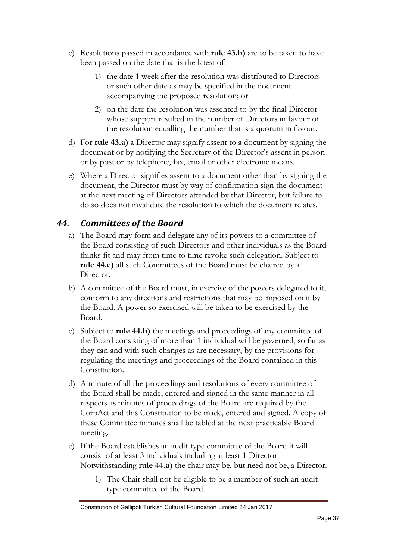- c) Resolutions passed in accordance with **rule 43.b)** are to be taken to have been passed on the date that is the latest of:
	- 1) the date 1 week after the resolution was distributed to Directors or such other date as may be specified in the document accompanying the proposed resolution; or
	- 2) on the date the resolution was assented to by the final Director whose support resulted in the number of Directors in favour of the resolution equalling the number that is a quorum in favour.
- d) For **rule 43.a)** a Director may signify assent to a document by signing the document or by notifying the Secretary of the Director's assent in person or by post or by telephone, fax, email or other electronic means.
- e) Where a Director signifies assent to a document other than by signing the document, the Director must by way of confirmation sign the document at the next meeting of Directors attended by that Director, but failure to do so does not invalidate the resolution to which the document relates.

#### <span id="page-36-0"></span>*44. Committees of the Board*

- a) The Board may form and delegate any of its powers to a committee of the Board consisting of such Directors and other individuals as the Board thinks fit and may from time to time revoke such delegation. Subject to **rule 44.e)** all such Committees of the Board must be chaired by a Director.
- b) A committee of the Board must, in exercise of the powers delegated to it, conform to any directions and restrictions that may be imposed on it by the Board. A power so exercised will be taken to be exercised by the Board.
- c) Subject to **rule 44.b)** the meetings and proceedings of any committee of the Board consisting of more than 1 individual will be governed, so far as they can and with such changes as are necessary, by the provisions for regulating the meetings and proceedings of the Board contained in this Constitution.
- d) A minute of all the proceedings and resolutions of every committee of the Board shall be made, entered and signed in the same manner in all respects as minutes of proceedings of the Board are required by the CorpAct and this Constitution to be made, entered and signed. A copy of these Committee minutes shall be tabled at the next practicable Board meeting.
- e) If the Board establishes an audit-type committee of the Board it will consist of at least 3 individuals including at least 1 Director. Notwithstanding **rule 44.a)** the chair may be, but need not be, a Director.
	- 1) The Chair shall not be eligible to be a member of such an audittype committee of the Board.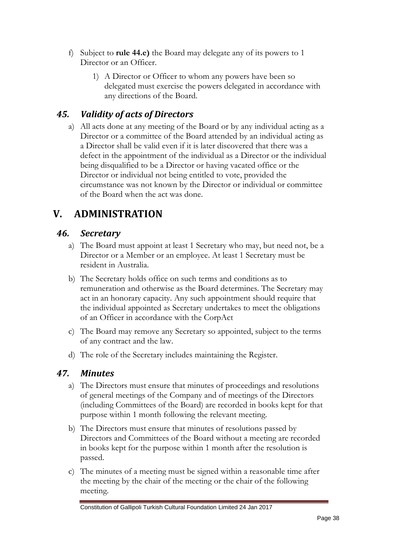- f) Subject to **rule 44.e)** the Board may delegate any of its powers to 1 Director or an Officer.
	- 1) A Director or Officer to whom any powers have been so delegated must exercise the powers delegated in accordance with any directions of the Board.

# <span id="page-37-0"></span>*45. Validity of acts of Directors*

a) All acts done at any meeting of the Board or by any individual acting as a Director or a committee of the Board attended by an individual acting as a Director shall be valid even if it is later discovered that there was a defect in the appointment of the individual as a Director or the individual being disqualified to be a Director or having vacated office or the Director or individual not being entitled to vote, provided the circumstance was not known by the Director or individual or committee of the Board when the act was done.

# <span id="page-37-1"></span>**V. ADMINISTRATION**

# <span id="page-37-2"></span>*46. Secretary*

- a) The Board must appoint at least 1 Secretary who may, but need not, be a Director or a Member or an employee. At least 1 Secretary must be resident in Australia.
- b) The Secretary holds office on such terms and conditions as to remuneration and otherwise as the Board determines. The Secretary may act in an honorary capacity. Any such appointment should require that the individual appointed as Secretary undertakes to meet the obligations of an Officer in accordance with the CorpAct
- c) The Board may remove any Secretary so appointed, subject to the terms of any contract and the law.
- d) The role of the Secretary includes maintaining the Register.

# <span id="page-37-3"></span>*47. Minutes*

- a) The Directors must ensure that minutes of proceedings and resolutions of general meetings of the Company and of meetings of the Directors (including Committees of the Board) are recorded in books kept for that purpose within 1 month following the relevant meeting.
- b) The Directors must ensure that minutes of resolutions passed by Directors and Committees of the Board without a meeting are recorded in books kept for the purpose within 1 month after the resolution is passed.
- c) The minutes of a meeting must be signed within a reasonable time after the meeting by the chair of the meeting or the chair of the following meeting.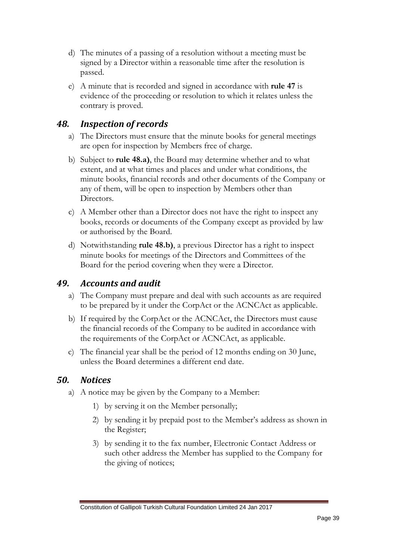- d) The minutes of a passing of a resolution without a meeting must be signed by a Director within a reasonable time after the resolution is passed.
- e) A minute that is recorded and signed in accordance with **rule 47** is evidence of the proceeding or resolution to which it relates unless the contrary is proved.

#### <span id="page-38-0"></span>*48. Inspection of records*

- a) The Directors must ensure that the minute books for general meetings are open for inspection by Members free of charge.
- b) Subject to **rule 48.a)**, the Board may determine whether and to what extent, and at what times and places and under what conditions, the minute books, financial records and other documents of the Company or any of them, will be open to inspection by Members other than Directors.
- c) A Member other than a Director does not have the right to inspect any books, records or documents of the Company except as provided by law or authorised by the Board.
- d) Notwithstanding **rule 48.b)**, a previous Director has a right to inspect minute books for meetings of the Directors and Committees of the Board for the period covering when they were a Director.

#### <span id="page-38-1"></span>*49. Accounts and audit*

- a) The Company must prepare and deal with such accounts as are required to be prepared by it under the CorpAct or the ACNCAct as applicable.
- b) If required by the CorpAct or the ACNCAct, the Directors must cause the financial records of the Company to be audited in accordance with the requirements of the CorpAct or ACNCAct, as applicable.
- c) The financial year shall be the period of 12 months ending on 30 June, unless the Board determines a different end date.

#### <span id="page-38-2"></span>*50. Notices*

- a) A notice may be given by the Company to a Member:
	- 1) by serving it on the Member personally;
	- 2) by sending it by prepaid post to the Member's address as shown in the Register;
	- 3) by sending it to the fax number, Electronic Contact Address or such other address the Member has supplied to the Company for the giving of notices;

Constitution of Gallipoli Turkish Cultural Foundation Limited 24 Jan 2017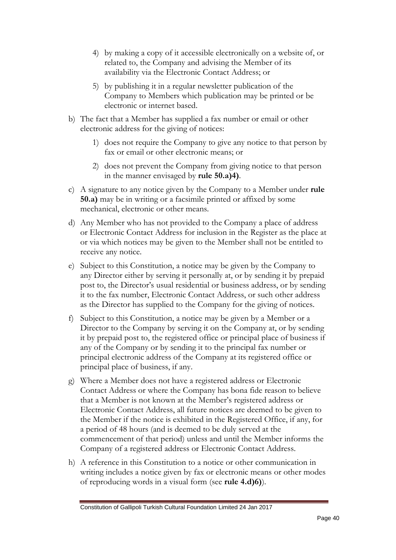- 4) by making a copy of it accessible electronically on a website of, or related to, the Company and advising the Member of its availability via the Electronic Contact Address; or
- 5) by publishing it in a regular newsletter publication of the Company to Members which publication may be printed or be electronic or internet based.
- b) The fact that a Member has supplied a fax number or email or other electronic address for the giving of notices:
	- 1) does not require the Company to give any notice to that person by fax or email or other electronic means; or
	- 2) does not prevent the Company from giving notice to that person in the manner envisaged by **rule 50.a)4)**.
- c) A signature to any notice given by the Company to a Member under **rule 50.a)** may be in writing or a facsimile printed or affixed by some mechanical, electronic or other means.
- d) Any Member who has not provided to the Company a place of address or Electronic Contact Address for inclusion in the Register as the place at or via which notices may be given to the Member shall not be entitled to receive any notice.
- e) Subject to this Constitution, a notice may be given by the Company to any Director either by serving it personally at, or by sending it by prepaid post to, the Director's usual residential or business address, or by sending it to the fax number, Electronic Contact Address, or such other address as the Director has supplied to the Company for the giving of notices.
- f) Subject to this Constitution, a notice may be given by a Member or a Director to the Company by serving it on the Company at, or by sending it by prepaid post to, the registered office or principal place of business if any of the Company or by sending it to the principal fax number or principal electronic address of the Company at its registered office or principal place of business, if any.
- g) Where a Member does not have a registered address or Electronic Contact Address or where the Company has bona fide reason to believe that a Member is not known at the Member's registered address or Electronic Contact Address, all future notices are deemed to be given to the Member if the notice is exhibited in the Registered Office, if any, for a period of 48 hours (and is deemed to be duly served at the commencement of that period) unless and until the Member informs the Company of a registered address or Electronic Contact Address.
- h) A reference in this Constitution to a notice or other communication in writing includes a notice given by fax or electronic means or other modes of reproducing words in a visual form (see **rule 4.d)6)**).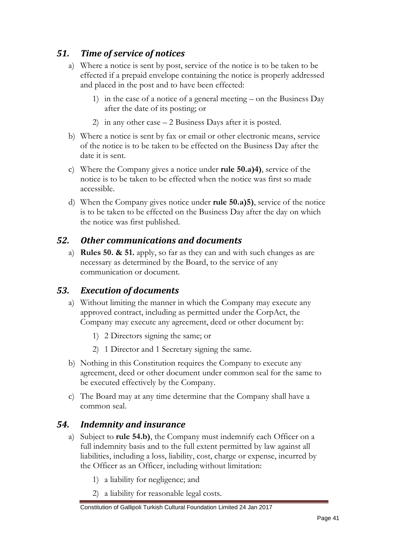# <span id="page-40-0"></span>*51. Time of service of notices*

- a) Where a notice is sent by post, service of the notice is to be taken to be effected if a prepaid envelope containing the notice is properly addressed and placed in the post and to have been effected:
	- 1) in the case of a notice of a general meeting  $-$  on the Business Day after the date of its posting; or
	- 2) in any other case 2 Business Days after it is posted.
- b) Where a notice is sent by fax or email or other electronic means, service of the notice is to be taken to be effected on the Business Day after the date it is sent.
- c) Where the Company gives a notice under **rule 50.a)4)**, service of the notice is to be taken to be effected when the notice was first so made accessible.
- d) When the Company gives notice under **rule 50.a)5)**, service of the notice is to be taken to be effected on the Business Day after the day on which the notice was first published.

#### <span id="page-40-1"></span>*52. Other communications and documents*

a) **Rules 50. & 51.** apply, so far as they can and with such changes as are necessary as determined by the Board, to the service of any communication or document.

#### <span id="page-40-2"></span>*53. Execution of documents*

- a) Without limiting the manner in which the Company may execute any approved contract, including as permitted under the CorpAct, the Company may execute any agreement, deed or other document by:
	- 1) 2 Directors signing the same; or
	- 2) 1 Director and 1 Secretary signing the same.
- b) Nothing in this Constitution requires the Company to execute any agreement, deed or other document under common seal for the same to be executed effectively by the Company.
- c) The Board may at any time determine that the Company shall have a common seal.

#### <span id="page-40-3"></span>*54. Indemnity and insurance*

- a) Subject to **rule 54.b)**, the Company must indemnify each Officer on a full indemnity basis and to the full extent permitted by law against all liabilities, including a loss, liability, cost, charge or expense, incurred by the Officer as an Officer, including without limitation:
	- 1) a liability for negligence; and
	- 2) a liability for reasonable legal costs.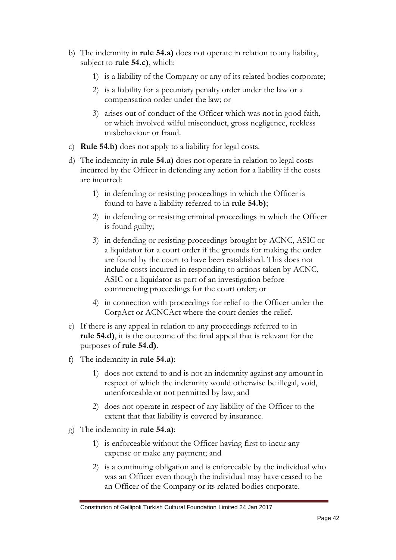- b) The indemnity in **rule 54.a)** does not operate in relation to any liability, subject to **rule 54.c)**, which:
	- 1) is a liability of the Company or any of its related bodies corporate;
	- 2) is a liability for a pecuniary penalty order under the law or a compensation order under the law; or
	- 3) arises out of conduct of the Officer which was not in good faith, or which involved wilful misconduct, gross negligence, reckless misbehaviour or fraud.
- c) **Rule 54.b)** does not apply to a liability for legal costs.
- d) The indemnity in **rule 54.a)** does not operate in relation to legal costs incurred by the Officer in defending any action for a liability if the costs are incurred:
	- 1) in defending or resisting proceedings in which the Officer is found to have a liability referred to in **rule 54.b)**;
	- 2) in defending or resisting criminal proceedings in which the Officer is found guilty;
	- 3) in defending or resisting proceedings brought by ACNC, ASIC or a liquidator for a court order if the grounds for making the order are found by the court to have been established. This does not include costs incurred in responding to actions taken by ACNC, ASIC or a liquidator as part of an investigation before commencing proceedings for the court order; or
	- 4) in connection with proceedings for relief to the Officer under the CorpAct or ACNCAct where the court denies the relief.
- e) If there is any appeal in relation to any proceedings referred to in **rule 54.d)**, it is the outcome of the final appeal that is relevant for the purposes of **rule 54.d)**.
- f) The indemnity in **rule 54.a)**:
	- 1) does not extend to and is not an indemnity against any amount in respect of which the indemnity would otherwise be illegal, void, unenforceable or not permitted by law; and
	- 2) does not operate in respect of any liability of the Officer to the extent that that liability is covered by insurance.
- g) The indemnity in **rule 54.a)**:
	- 1) is enforceable without the Officer having first to incur any expense or make any payment; and
	- 2) is a continuing obligation and is enforceable by the individual who was an Officer even though the individual may have ceased to be an Officer of the Company or its related bodies corporate.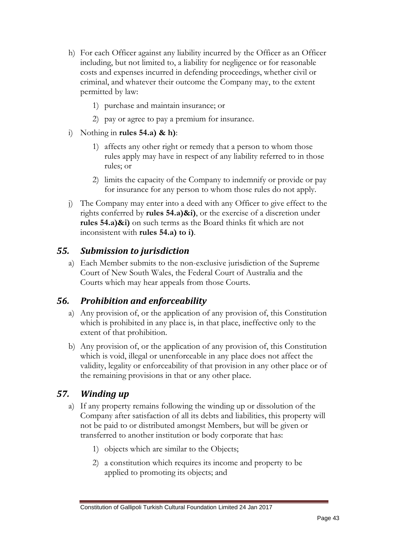- h) For each Officer against any liability incurred by the Officer as an Officer including, but not limited to, a liability for negligence or for reasonable costs and expenses incurred in defending proceedings, whether civil or criminal, and whatever their outcome the Company may, to the extent permitted by law:
	- 1) purchase and maintain insurance; or
	- 2) pay or agree to pay a premium for insurance.
- i) Nothing in **rules 54.a) & h)**:
	- 1) affects any other right or remedy that a person to whom those rules apply may have in respect of any liability referred to in those rules; or
	- 2) limits the capacity of the Company to indemnify or provide or pay for insurance for any person to whom those rules do not apply.
- j) The Company may enter into a deed with any Officer to give effect to the rights conferred by **rules 54.a)&i)**, or the exercise of a discretion under **rules 54.a)&i)** on such terms as the Board thinks fit which are not inconsistent with **rules 54.a) to i)**.

#### <span id="page-42-0"></span>*55. Submission to jurisdiction*

a) Each Member submits to the non-exclusive jurisdiction of the Supreme Court of New South Wales, the Federal Court of Australia and the Courts which may hear appeals from those Courts.

#### <span id="page-42-1"></span>*56. Prohibition and enforceability*

- a) Any provision of, or the application of any provision of, this Constitution which is prohibited in any place is, in that place, ineffective only to the extent of that prohibition.
- b) Any provision of, or the application of any provision of, this Constitution which is void, illegal or unenforceable in any place does not affect the validity, legality or enforceability of that provision in any other place or of the remaining provisions in that or any other place.

#### <span id="page-42-2"></span>*57. Winding up*

- a) If any property remains following the winding up or dissolution of the Company after satisfaction of all its debts and liabilities, this property will not be paid to or distributed amongst Members, but will be given or transferred to another institution or body corporate that has:
	- 1) objects which are similar to the Objects;
	- 2) a constitution which requires its income and property to be applied to promoting its objects; and

Constitution of Gallipoli Turkish Cultural Foundation Limited 24 Jan 2017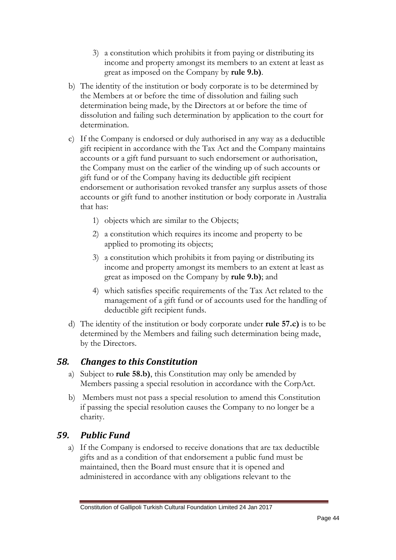- 3) a constitution which prohibits it from paying or distributing its income and property amongst its members to an extent at least as great as imposed on the Company by **rule 9.b)**.
- b) The identity of the institution or body corporate is to be determined by the Members at or before the time of dissolution and failing such determination being made, by the Directors at or before the time of dissolution and failing such determination by application to the court for determination.
- <span id="page-43-0"></span>c) If the Company is endorsed or duly authorised in any way as a deductible gift recipient in accordance with the Tax Act and the Company maintains accounts or a gift fund pursuant to such endorsement or authorisation, the Company must on the earlier of the winding up of such accounts or gift fund or of the Company having its deductible gift recipient endorsement or authorisation revoked transfer any surplus assets of those accounts or gift fund to another institution or body corporate in Australia that has:
	- 1) objects which are similar to the Objects;
	- 2) a constitution which requires its income and property to be applied to promoting its objects;
	- 3) a constitution which prohibits it from paying or distributing its income and property amongst its members to an extent at least as great as imposed on the Company by **rule 9.b)**; and
	- 4) which satisfies specific requirements of the Tax Act related to the management of a gift fund or of accounts used for the handling of deductible gift recipient funds.
- d) The identity of the institution or body corporate under **rule 57.c)** is to be determined by the Members and failing such determination being made, by the Directors.

#### *58. Changes to this Constitution*

- a) Subject to **rule 58.b)**, this Constitution may only be amended by Members passing a special resolution in accordance with the CorpAct.
- b) Members must not pass a special resolution to amend this Constitution if passing the special resolution causes the Company to no longer be a charity.

#### *59. Public Fund*

a) If the Company is endorsed to receive donations that are tax deductible gifts and as a condition of that endorsement a public fund must be maintained, then the Board must ensure that it is opened and administered in accordance with any obligations relevant to the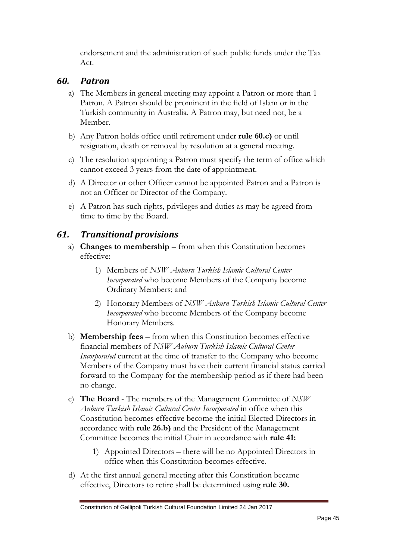endorsement and the administration of such public funds under the Tax Act.

#### *60. Patron*

- a) The Members in general meeting may appoint a Patron or more than 1 Patron. A Patron should be prominent in the field of Islam or in the Turkish community in Australia. A Patron may, but need not, be a Member.
- b) Any Patron holds office until retirement under **rule 60.c)** or until resignation, death or removal by resolution at a general meeting.
- c) The resolution appointing a Patron must specify the term of office which cannot exceed 3 years from the date of appointment.
- d) A Director or other Officer cannot be appointed Patron and a Patron is not an Officer or Director of the Company.
- e) A Patron has such rights, privileges and duties as may be agreed from time to time by the Board.

### *61. Transitional provisions*

- a) **Changes to membership** from when this Constitution becomes effective:
	- 1) Members of *NSW Auburn Turkish Islamic Cultural Center Incorporated* who become Members of the Company become Ordinary Members; and
	- 2) Honorary Members of *NSW Auburn Turkish Islamic Cultural Center Incorporated* who become Members of the Company become Honorary Members.
- b) **Membership fees**  from when this Constitution becomes effective financial members of *NSW Auburn Turkish Islamic Cultural Center Incorporated* current at the time of transfer to the Company who become Members of the Company must have their current financial status carried forward to the Company for the membership period as if there had been no change.
- c) **The Board** The members of the Management Committee of *NSW Auburn Turkish Islamic Cultural Center Incorporated* in office when this Constitution becomes effective become the initial Elected Directors in accordance with **rule 26.b)** and the President of the Management Committee becomes the initial Chair in accordance with **rule 41:**
	- 1) Appointed Directors there will be no Appointed Directors in office when this Constitution becomes effective.
- d) At the first annual general meeting after this Constitution became effective, Directors to retire shall be determined using **rule 30.**